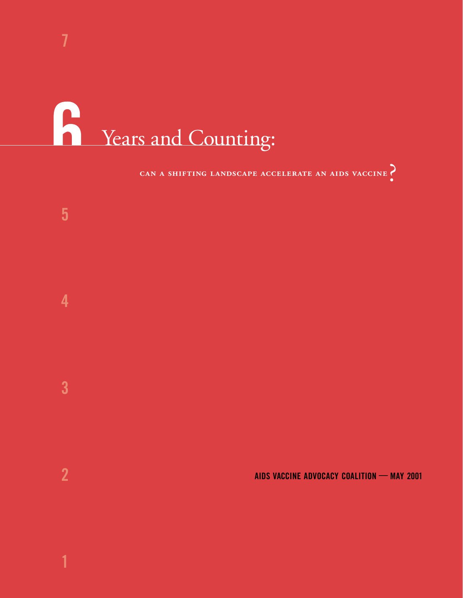# Rue Years and Counting:

## CAN A SHIFTING LANDSCAPE ACCELERATE AN AIDS VACCINE

**AIDS VACCINE ADVOCACY COALITION — MAY 2001**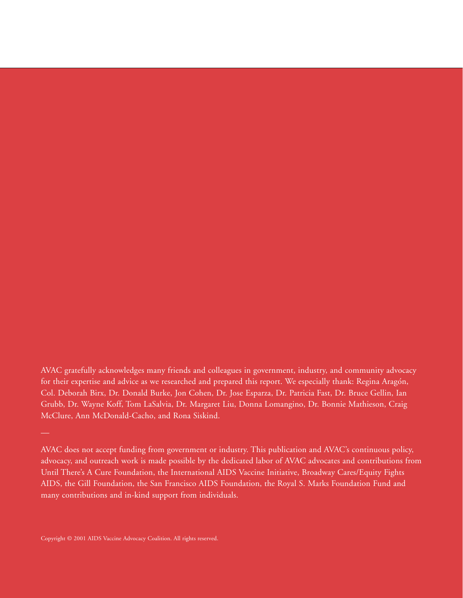AVAC gratefully acknowledges many friends and colleagues in government, industry, and community advocacy for their expertise and advice as we researched and prepared this report. We especially thank: Regina Aragón, Col. Deborah Birx, Dr. Donald Burke, Jon Cohen, Dr. Jose Esparza, Dr. Patricia Fast, Dr. Bruce Gellin, Ian Grubb, Dr. Wayne Koff, Tom LaSalvia, Dr. Margaret Liu, Donna Lomangino, Dr. Bonnie Mathieson, Craig McClure, Ann McDonald-Cacho, and Rona Siskind.

AVAC does not accept funding from government or industry. This publication and AVAC's continuous policy, advocacy, and outreach work is made possible by the dedicated labor of AVAC advocates and contributions from Until There's A Cure Foundation, the International AIDS Vaccine Initiative, Broadway Cares/Equity Fights AIDS, the Gill Foundation, the San Francisco AIDS Foundation, the Royal S. Marks Foundation Fund and many contributions and in-kind support from individuals.

Copyright © 2001 AIDS Vaccine Advocacy Coalition. All rights reserved.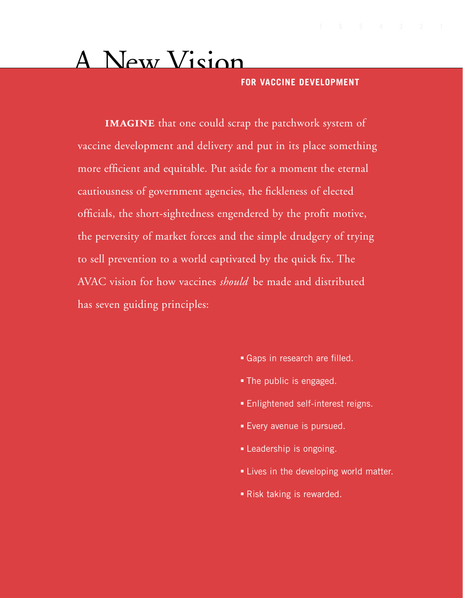# A New Vision

**FOR VACCINE DEVELOPMENT**

**IMAGINE** that one could scrap the patchwork system of vaccine development and delivery and put in its place something more efficient and equitable. Put aside for a moment the eternal cautiousness of government agencies, the fickleness of elected officials, the short-sightedness engendered by the profit motive, the perversity of market forces and the simple drudgery of trying to sell prevention to a world captivated by the quick fix. The AVAC vision for how vaccines *should* be made and distributed has seven guiding principles:

- Gaps in research are filled.
- The public is engaged.
- Enlightened self-interest reigns.
- Every avenue is pursued.
- Leadership is ongoing.
- Lives in the developing world matter.
- Risk taking is rewarded.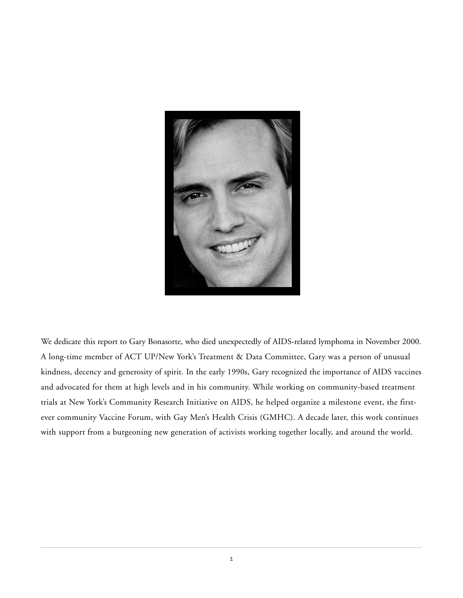

We dedicate this report to Gary Bonasorte, who died unexpectedly of AIDS-related lymphoma in November 2000. A long-time member of ACT UP/New York's Treatment & Data Committee, Gary was a person of unusual kindness, decency and generosity of spirit. In the early 1990s, Gary recognized the importance of AIDS vaccines and advocated for them at high levels and in his community. While working on community-based treatment trials at New York's Community Research Initiative on AIDS, he helped organize a milestone event, the firstever community Vaccine Forum, with Gay Men's Health Crisis (GMHC). A decade later, this work continues with support from a burgeoning new generation of activists working together locally, and around the world.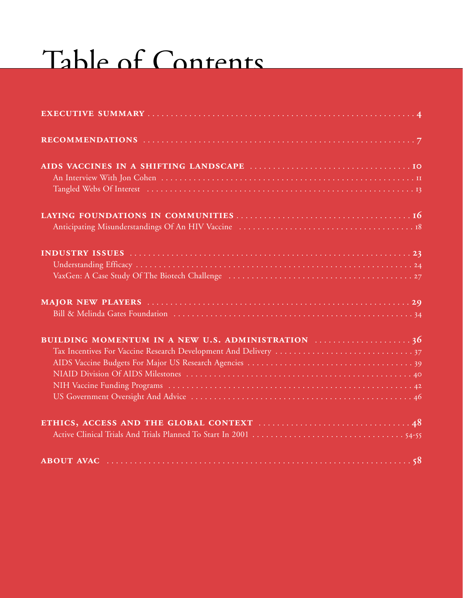# Table of Contents

| BUILDING MOMENTUM IN A NEW U.S. ADMINISTRATION 36 |  |
|---------------------------------------------------|--|
|                                                   |  |
|                                                   |  |
|                                                   |  |
|                                                   |  |
|                                                   |  |
|                                                   |  |
|                                                   |  |
|                                                   |  |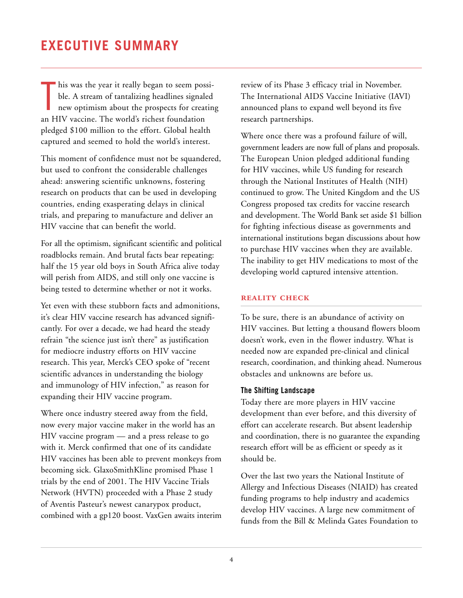<span id="page-5-0"></span>T his was the year it really began to seem possible. A stream of tantalizing headlines signaled new optimism about the prospects for creating an HIV vaccine. The world's richest foundation pledged \$100 million to the effort. Global health captured and seemed to hold the world's interest.

This moment of confidence must not be squandered, but used to confront the considerable challenges ahead: answering scientific unknowns, fostering research on products that can be used in developing countries, ending exasperating delays in clinical trials, and preparing to manufacture and deliver an HIV vaccine that can benefit the world.

For all the optimism, significant scientific and political roadblocks remain. And brutal facts bear repeating: half the 15 year old boys in South Africa alive today will perish from AIDS, and still only one vaccine is being tested to determine whether or not it works.

Yet even with these stubborn facts and admonitions, it's clear HIV vaccine research has advanced significantly. For over a decade, we had heard the steady refrain "the science just isn't there" as justification for mediocre industry efforts on HIV vaccine research. This year, Merck's CEO spoke of "recent scientific advances in understanding the biology and immunology of HIV infection," as reason for expanding their HIV vaccine program.

Where once industry steered away from the field, now every major vaccine maker in the world has an HIV vaccine program — and a press release to go with it. Merck confirmed that one of its candidate HIV vaccines has been able to prevent monkeys from becoming sick. GlaxoSmithKline promised Phase 1 trials by the end of 2001. The HIV Vaccine Trials Network (HVTN) proceeded with a Phase 2 study of Aventis Pasteur's newest canarypox product, combined with a gp120 boost. VaxGen awaits interim review of its Phase 3 efficacy trial in November. The International AIDS Vaccine Initiative (IAVI) announced plans to expand well beyond its five research partnerships.

Where once there was a profound failure of will, government leaders are now full of plans and proposals. The European Union pledged additional funding for HIV vaccines, while US funding for research through the National Institutes of Health (NIH) continued to grow. The United Kingdom and the US Congress proposed tax credits for vaccine research and development. The World Bank set aside \$1 billion for fighting infectious disease as governments and international institutions began discussions about how to purchase HIV vaccines when they are available. The inability to get HIV medications to most of the developing world captured intensive attention.

#### **REALITY CHECK**

To be sure, there is an abundance of activity on HIV vaccines. But letting a thousand flowers bloom doesn't work, even in the flower industry. What is needed now are expanded pre-clinical and clinical research, coordination, and thinking ahead. Numerous obstacles and unknowns are before us.

#### **The Shifting Landscape**

Today there are more players in HIV vaccine development than ever before, and this diversity of effort can accelerate research. But absent leadership and coordination, there is no guarantee the expanding research effort will be as efficient or speedy as it should be.

Over the last two years the National Institute of Allergy and Infectious Diseases (NIAID) has created funding programs to help industry and academics develop HIV vaccines. A large new commitment of funds from the Bill & Melinda Gates Foundation to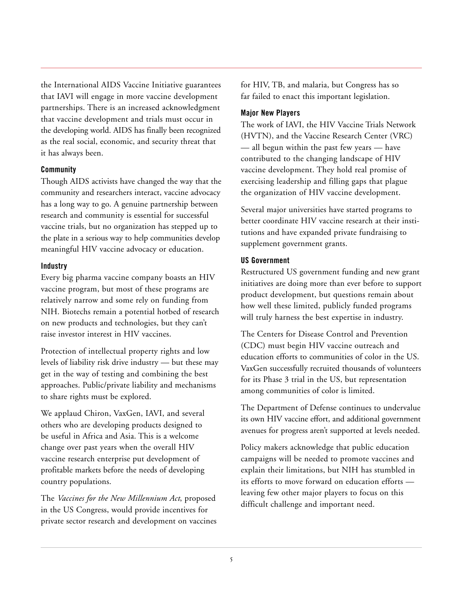the International AIDS Vaccine Initiative guarantees that IAVI will engage in more vaccine development partnerships. There is an increased acknowledgment that vaccine development and trials must occur in the developing world. AIDS has finally been recognized as the real social, economic, and security threat that it has always been.

#### **Community**

Though AIDS activists have changed the way that the community and researchers interact, vaccine advocacy has a long way to go. A genuine partnership between research and community is essential for successful vaccine trials, but no organization has stepped up to the plate in a serious way to help communities develop meaningful HIV vaccine advocacy or education.

#### **Industry**

Every big pharma vaccine company boasts an HIV vaccine program, but most of these programs are relatively narrow and some rely on funding from NIH. Biotechs remain a potential hotbed of research on new products and technologies, but they can't raise investor interest in HIV vaccines.

Protection of intellectual property rights and low levels of liability risk drive industry — but these may get in the way of testing and combining the best approaches. Public/private liability and mechanisms to share rights must be explored.

We applaud Chiron, VaxGen, IAVI, and several others who are developing products designed to be useful in Africa and Asia. This is a welcome change over past years when the overall HIV vaccine research enterprise put development of profitable markets before the needs of developing country populations.

The *Vaccines for the New Millennium Act*, proposed in the US Congress, would provide incentives for private sector research and development on vaccines for HIV, TB, and malaria, but Congress has so far failed to enact this important legislation.

#### **Major New Players**

The work of IAVI, the HIV Vaccine Trials Network (HVTN), and the Vaccine Research Center (VRC) — all begun within the past few years — have contributed to the changing landscape of HIV vaccine development. They hold real promise of exercising leadership and filling gaps that plague the organization of HIV vaccine development.

Several major universities have started programs to better coordinate HIV vaccine research at their institutions and have expanded private fundraising to supplement government grants.

#### **US Government**

Restructured US government funding and new grant initiatives are doing more than ever before to support product development, but questions remain about how well these limited, publicly funded programs will truly harness the best expertise in industry.

The Centers for Disease Control and Prevention (CDC) must begin HIV vaccine outreach and education efforts to communities of color in the US. VaxGen successfully recruited thousands of volunteers for its Phase 3 trial in the US, but representation among communities of color is limited.

The Department of Defense continues to undervalue its own HIV vaccine effort, and additional government avenues for progress aren't supported at levels needed.

Policy makers acknowledge that public education campaigns will be needed to promote vaccines and explain their limitations, but NIH has stumbled in its efforts to move forward on education efforts leaving few other major players to focus on this difficult challenge and important need.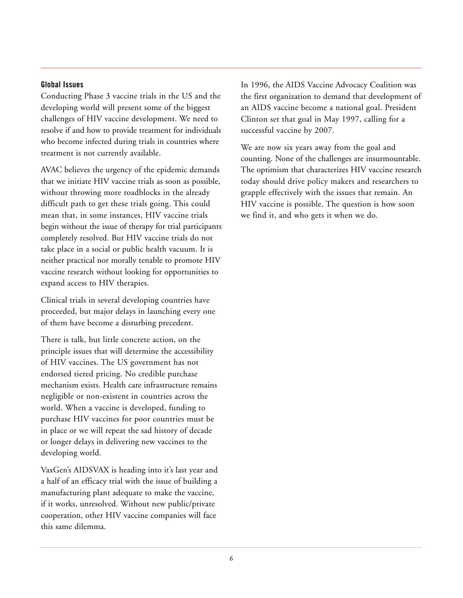#### **Global Issues**

Conducting Phase 3 vaccine trials in the US and the developing world will present some of the biggest challenges of HIV vaccine development. We need to resolve if and how to provide treatment for individuals who become infected during trials in countries where treatment is not currently available.

AVAC believes the urgency of the epidemic demands that we initiate HIV vaccine trials as soon as possible, without throwing more roadblocks in the already difficult path to get these trials going. This could mean that, in some instances, HIV vaccine trials begin without the issue of therapy for trial participants completely resolved. But HIV vaccine trials do not take place in a social or public health vacuum. It is neither practical nor morally tenable to promote HIV vaccine research without looking for opportunities to expand access to HIV therapies.

Clinical trials in several developing countries have proceeded, but major delays in launching every one of them have become a disturbing precedent.

There is talk, but little concrete action, on the principle issues that will determine the accessibility of HIV vaccines. The US government has not endorsed tiered pricing. No credible purchase mechanism exists. Health care infrastructure remains negligible or non-existent in countries across the world. When a vaccine is developed, funding to purchase HIV vaccines for poor countries must be in place or we will repeat the sad history of decade or longer delays in delivering new vaccines to the developing world.

VaxGen's AIDSVAX is heading into it's last year and a half of an efficacy trial with the issue of building a manufacturing plant adequate to make the vaccine, if it works, unresolved. Without new public/private cooperation, other HIV vaccine companies will face this same dilemma.

In 1996, the AIDS Vaccine Advocacy Coalition was the first organization to demand that development of an AIDS vaccine become a national goal. President Clinton set that goal in May 1997, calling for a successful vaccine by 2007.

We are now six years away from the goal and counting. None of the challenges are insurmountable. The optimism that characterizes HIV vaccine research today should drive policy makers and researchers to grapple effectively with the issues that remain. An HIV vaccine is possible. The question is how soon we find it, and who gets it when we do.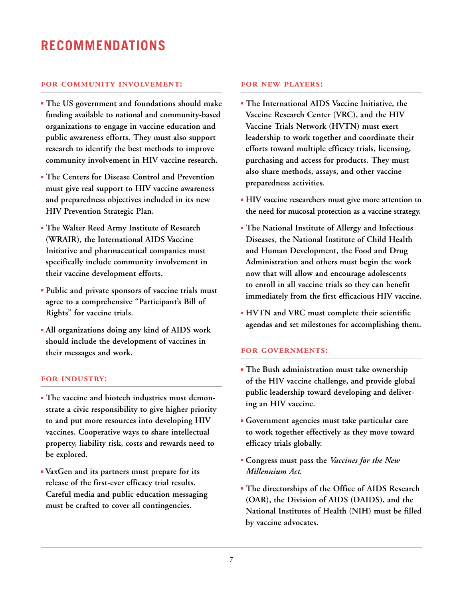#### <span id="page-8-0"></span>**FOR COMMUNITY INVOLVEMENT:**

- **The US government and foundations should make funding available to national and community-based organizations to engage in vaccine education and public awareness efforts. They must also support research to identify the best methods to improve community involvement in HIV vaccine research.**
- **The Centers for Disease Control and Prevention must give real support to HIV vaccine awareness and preparedness objectives included in its new HIV Prevention Strategic Plan.**
- **The Walter Reed Army Institute of Research (WRAIR), the International AIDS Vaccine Initiative and pharmaceutical companies must specifically include community involvement in their vaccine development efforts.**
- **Public and private sponsors of vaccine trials must agree to a comprehensive "Participant's Bill of Rights" for vaccine trials.**
- **All organizations doing any kind of AIDS work should include the development of vaccines in their messages and work.**

#### **FOR INDUSTRY:**

- **The vaccine and biotech industries must demonstrate a civic responsibility to give higher priority to and put more resources into developing HIV vaccines. Cooperative ways to share intellectual property, liability risk, costs and rewards need to be explored.**
- **VaxGen and its partners must prepare for its release of the first-ever efficacy trial results. Careful media and public education messaging must be crafted to cover all contingencies.**

#### **FOR NEW PLAYERS:**

- **The International AIDS Vaccine Initiative, the Vaccine Research Center (VRC), and the HIV Vaccine Trials Network (HVTN) must exert leadership to work together and coordinate their efforts toward multiple efficacy trials, licensing, purchasing and access for products. They must also share methods, assays, and other vaccine preparedness activities.**
- **HIV vaccine researchers must give more attention to the need for mucosal protection as a vaccine strategy.**
- **The National Institute of Allergy and Infectious Diseases, the National Institute of Child Health and Human Development, the Food and Drug Administration and others must begin the work now that will allow and encourage adolescents to enroll in all vaccine trials so they can benefit immediately from the first efficacious HIV vaccine.**
- **HVTN and VRC must complete their scientific agendas and set milestones for accomplishing them.**

#### **FOR GOVERNMENTS:**

- **The Bush administration must take ownership of the HIV vaccine challenge, and provide global public leadership toward developing and delivering an HIV vaccine.**
- **Government agencies must take particular care to work together effectively as they move toward efficacy trials globally.**
- **Congress must pass the** *Vaccines for the New Millennium Act.*
- **The directorships of the Office of AIDS Research (OAR), the Division of AIDS (DAIDS), and the National Institutes of Health (NIH) must be filled by vaccine advocates.**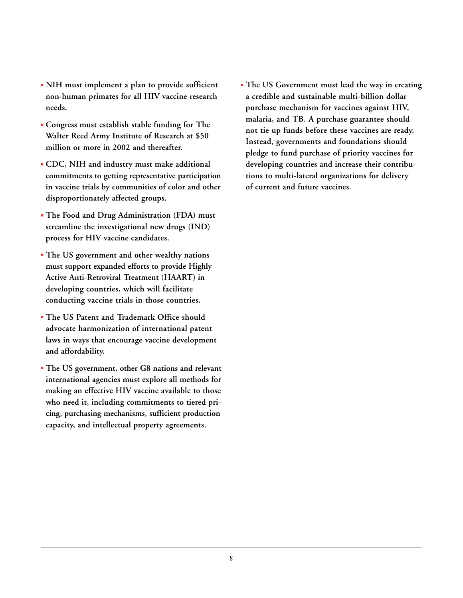- **NIH must implement a plan to provide sufficient non-human primates for all HIV vaccine research needs.**
- **Congress must establish stable funding for The Walter Reed Army Institute of Research at \$50 million or more in 2002 and thereafter.**
- **CDC, NIH and industry must make additional commitments to getting representative participation in vaccine trials by communities of color and other disproportionately affected groups.**
- **The Food and Drug Administration (FDA) must streamline the investigational new drugs (IND) process for HIV vaccine candidates.**
- **The US government and other wealthy nations must support expanded efforts to provide Highly Active Anti-Retroviral Treatment (HAART) in developing countries, which will facilitate conducting vaccine trials in those countries.**
- **The US Patent and Trademark Office should advocate harmonization of international patent laws in ways that encourage vaccine development and affordability.**
- **The US government, other G8 nations and relevant international agencies must explore all methods for making an effective HIV vaccine available to those who need it, including commitments to tiered pricing, purchasing mechanisms, sufficient production capacity, and intellectual property agreements.**

■ **The US Government must lead the way in creating a credible and sustainable multi-billion dollar purchase mechanism for vaccines against HIV, malaria, and TB. A purchase guarantee should not tie up funds before these vaccines are ready. Instead, governments and foundations should pledge to fund purchase of priority vaccines for developing countries and increase their contributions to multi-lateral organizations for delivery of current and future vaccines.**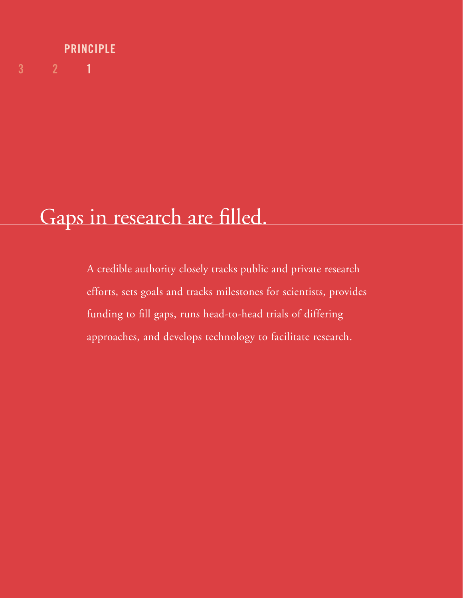# **3 2 1 PRINCIPLE**

# Gaps in research are filled.

A credible authority closely tracks public and private research efforts, sets goals and tracks milestones for scientists, provides funding to fill gaps, runs head-to-head trials of differing approaches, and develops technology to facilitate research.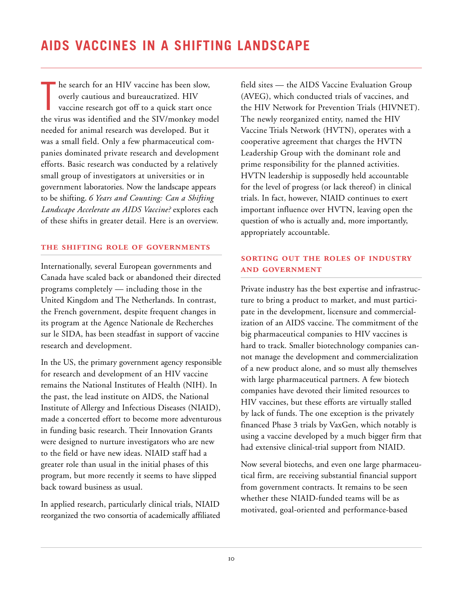<span id="page-11-0"></span>T he search for an HIV vaccine has been slow, overly cautious and bureaucratized. HIV vaccine research got off to a quick start once the virus was identified and the SIV/monkey model needed for animal research was developed. But it was a small field. Only a few pharmaceutical companies dominated private research and development efforts. Basic research was conducted by a relatively small group of investigators at universities or in government laboratories. Now the landscape appears to be shifting. *6 Years and Counting: Can a Shifting Landscape Accelerate an AIDS Vaccine?* explores each of these shifts in greater detail. Here is an overview.

#### **THE SHIFTING ROLE OF GOVERNMENTS**

Internationally, several European governments and Canada have scaled back or abandoned their directed programs completely — including those in the United Kingdom and The Netherlands. In contrast, the French government, despite frequent changes in its program at the Agence Nationale de Recherches sur le SIDA, has been steadfast in support of vaccine research and development.

In the US, the primary government agency responsible for research and development of an HIV vaccine remains the National Institutes of Health (NIH). In the past, the lead institute on AIDS, the National Institute of Allergy and Infectious Diseases (NIAID), made a concerted effort to become more adventurous in funding basic research. Their Innovation Grants were designed to nurture investigators who are new to the field or have new ideas. NIAID staff had a greater role than usual in the initial phases of this program, but more recently it seems to have slipped back toward business as usual.

In applied research, particularly clinical trials, NIAID reorganized the two consortia of academically affiliated

field sites — the AIDS Vaccine Evaluation Group (AVEG), which conducted trials of vaccines, and the HIV Network for Prevention Trials (HIVNET). The newly reorganized entity, named the HIV Vaccine Trials Network (HVTN), operates with a cooperative agreement that charges the HVTN Leadership Group with the dominant role and prime responsibility for the planned activities. HVTN leadership is supposedly held accountable for the level of progress (or lack thereof) in clinical trials. In fact, however, NIAID continues to exert important influence over HVTN, leaving open the question of who is actually and, more importantly, appropriately accountable.

#### **SORTING OUT THE ROLES OF INDUSTRY AND GOVERNMENT**

Private industry has the best expertise and infrastructure to bring a product to market, and must participate in the development, licensure and commercialization of an AIDS vaccine. The commitment of the big pharmaceutical companies to HIV vaccines is hard to track. Smaller biotechnology companies cannot manage the development and commercialization of a new product alone, and so must ally themselves with large pharmaceutical partners. A few biotech companies have devoted their limited resources to HIV vaccines, but these efforts are virtually stalled by lack of funds. The one exception is the privately financed Phase 3 trials by VaxGen, which notably is using a vaccine developed by a much bigger firm that had extensive clinical-trial support from NIAID.

Now several biotechs, and even one large pharmaceutical firm, are receiving substantial financial support from government contracts. It remains to be seen whether these NIAID-funded teams will be as motivated, goal-oriented and performance-based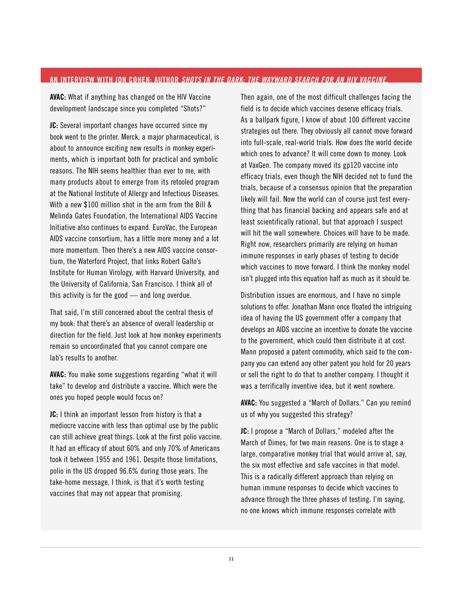#### <span id="page-12-0"></span>**AN INTERVIEW WITH JON COHEN: AUTHOR** *SHOTS IN THE DARK: THE WAYWARD SEARCH FOR AN HIV VACCINE.*

**AVAC:** What if anything has changed on the HIV Vaccine development landscape since you completed "Shots?"

**JC:** Several important changes have occurred since my book went to the printer. Merck, a major pharmaceutical, is about to announce exciting new results in monkey experiments, which is important both for practical and symbolic reasons. The NIH seems healthier than ever to me, with many products about to emerge from its retooled program at the National Institute of Allergy and Infectious Diseases. With a new \$100 million shot in the arm from the Bill & Melinda Gates Foundation, the International AIDS Vaccine Initiative also continues to expand. EuroVac, the European AIDS vaccine consortium, has a little more money and a lot more momentum. Then there's a new AIDS vaccine consortium, the Waterford Project, that links Robert Gallo's Institute for Human Virology, with Harvard University, and the University of California, San Francisco. I think all of this activity is for the good — and long overdue.

That said, I'm still concerned about the central thesis of my book: that there's an absence of overall leadership or direction for the field. Just look at how monkey experiments remain so uncoordinated that you cannot compare one lab's results to another.

**AVAC:** You make some suggestions regarding "what it will take" to develop and distribute a vaccine. Which were the ones you hoped people would focus on?

**JC:** I think an important lesson from history is that a mediocre vaccine with less than optimal use by the public can still achieve great things. Look at the first polio vaccine. It had an efficacy of about 60% and only 70% of Americans took it between 1955 and 1961. Despite those limitations, polio in the US dropped 96.6% during those years. The take-home message, I think, is that it's worth testing vaccines that may not appear that promising.

Then again, one of the most difficult challenges facing the field is to decide which vaccines deserve efficacy trials. As a ballpark figure, I know of about 100 different vaccine strategies out there. They obviously all cannot move forward into full-scale, real-world trials. How does the world decide which ones to advance? It will come down to money. Look at VaxGen. The company moved its gp120 vaccine into efficacy trials, even though the NIH decided not to fund the trials, because of a consensus opinion that the preparation likely will fail. Now the world can of course just test everything that has financial backing and appears safe and at least scientifically rational, but that approach I suspect will hit the wall somewhere. Choices will have to be made. Right now, researchers primarily are relying on human immune responses in early phases of testing to decide which vaccines to move forward. I think the monkey model isn't plugged into this equation half as much as it should be.

Distribution issues are enormous, and I have no simple solutions to offer. Jonathan Mann once floated the intriguing idea of having the US government offer a company that develops an AIDS vaccine an incentive to donate the vaccine to the government, which could then distribute it at cost. Mann proposed a patent commodity, which said to the company you can extend any other patent you hold for 20 years or sell the right to do that to another company. I thought it was a terrifically inventive idea, but it went nowhere.

**AVAC:** You suggested a "March of Dollars." Can you remind us of why you suggested this strategy?

**JC:** I propose a "March of Dollars," modeled after the March of Dimes, for two main reasons. One is to stage a large, comparative monkey trial that would arrive at, say, the six most effective and safe vaccines in that model. This is a radically different approach than relying on human immune responses to decide which vaccines to advance through the three phases of testing. I'm saying, no one knows which immune responses correlate with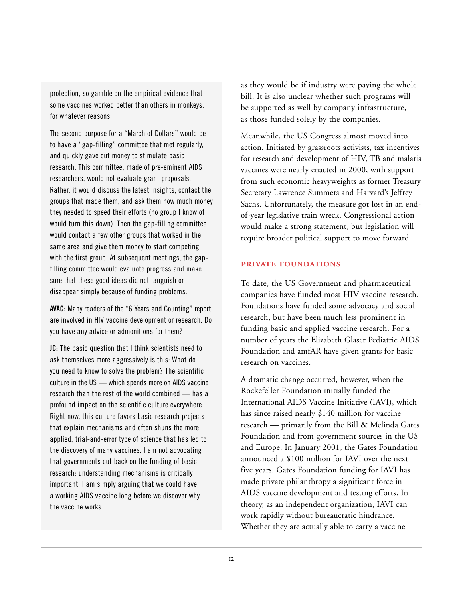protection, so gamble on the empirical evidence that some vaccines worked better than others in monkeys, for whatever reasons.

The second purpose for a "March of Dollars" would be to have a "gap-filling" committee that met regularly, and quickly gave out money to stimulate basic research. This committee, made of pre-eminent AIDS researchers, would not evaluate grant proposals. Rather, it would discuss the latest insights, contact the groups that made them, and ask them how much money they needed to speed their efforts (no group I know of would turn this down). Then the gap-filling committee would contact a few other groups that worked in the same area and give them money to start competing with the first group. At subsequent meetings, the gapfilling committee would evaluate progress and make sure that these good ideas did not languish or disappear simply because of funding problems.

**AVAC:** Many readers of the "6 Years and Counting" report are involved in HIV vaccine development or research. Do you have any advice or admonitions for them?

**JC:** The basic question that I think scientists need to ask themselves more aggressively is this: What do you need to know to solve the problem? The scientific culture in the US — which spends more on AIDS vaccine research than the rest of the world combined — has a profound impact on the scientific culture everywhere. Right now, this culture favors basic research projects that explain mechanisms and often shuns the more applied, trial-and-error type of science that has led to the discovery of many vaccines. I am not advocating that governments cut back on the funding of basic research: understanding mechanisms is critically important. I am simply arguing that we could have a working AIDS vaccine long before we discover why the vaccine works.

as they would be if industry were paying the whole bill. It is also unclear whether such programs will be supported as well by company infrastructure, as those funded solely by the companies.

Meanwhile, the US Congress almost moved into action. Initiated by grassroots activists, tax incentives for research and development of HIV, TB and malaria vaccines were nearly enacted in 2000, with support from such economic heavyweights as former Treasury Secretary Lawrence Summers and Harvard's Jeffrey Sachs. Unfortunately, the measure got lost in an endof-year legislative train wreck. Congressional action would make a strong statement, but legislation will require broader political support to move forward.

#### **PRIVATE FOUNDATIONS**

To date, the US Government and pharmaceutical companies have funded most HIV vaccine research. Foundations have funded some advocacy and social research, but have been much less prominent in funding basic and applied vaccine research. For a number of years the Elizabeth Glaser Pediatric AIDS Foundation and amfAR have given grants for basic research on vaccines.

A dramatic change occurred, however, when the Rockefeller Foundation initially funded the International AIDS Vaccine Initiative (IAVI), which has since raised nearly \$140 million for vaccine research — primarily from the Bill & Melinda Gates Foundation and from government sources in the US and Europe. In January 2001, the Gates Foundation announced a \$100 million for IAVI over the next five years. Gates Foundation funding for IAVI has made private philanthropy a significant force in AIDS vaccine development and testing efforts. In theory, as an independent organization, IAVI can work rapidly without bureaucratic hindrance. Whether they are actually able to carry a vaccine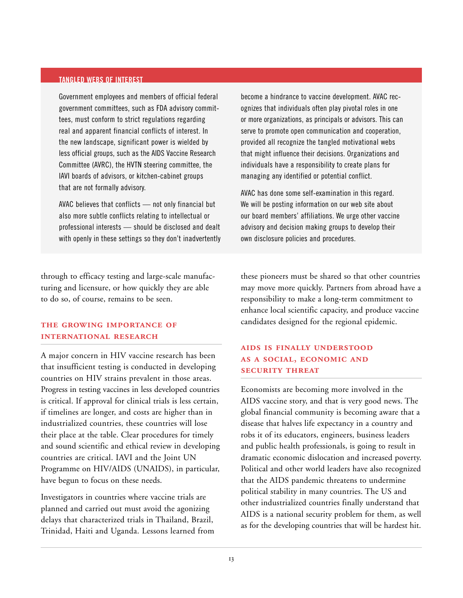#### <span id="page-14-0"></span>**TANGLED WEBS OF INTEREST**

Government employees and members of official federal government committees, such as FDA advisory committees, must conform to strict regulations regarding real and apparent financial conflicts of interest. In the new landscape, significant power is wielded by less official groups, such as the AIDS Vaccine Research Committee (AVRC), the HVTN steering committee, the IAVI boards of advisors, or kitchen-cabinet groups that are not formally advisory.

AVAC believes that conflicts — not only financial but also more subtle conflicts relating to intellectual or professional interests — should be disclosed and dealt with openly in these settings so they don't inadvertently

through to efficacy testing and large-scale manufacturing and licensure, or how quickly they are able to do so, of course, remains to be seen.

#### **THE GROWING IMPORTANCE OF INTERNATIONAL RESEARCH**

A major concern in HIV vaccine research has been that insufficient testing is conducted in developing countries on HIV strains prevalent in those areas. Progress in testing vaccines in less developed countries is critical. If approval for clinical trials is less certain, if timelines are longer, and costs are higher than in industrialized countries, these countries will lose their place at the table. Clear procedures for timely and sound scientific and ethical review in developing countries are critical. IAVI and the Joint UN Programme on HIV/AIDS (UNAIDS), in particular, have begun to focus on these needs.

Investigators in countries where vaccine trials are planned and carried out must avoid the agonizing delays that characterized trials in Thailand, Brazil, Trinidad, Haiti and Uganda. Lessons learned from become a hindrance to vaccine development. AVAC recognizes that individuals often play pivotal roles in one or more organizations, as principals or advisors. This can serve to promote open communication and cooperation, provided all recognize the tangled motivational webs that might influence their decisions. Organizations and individuals have a responsibility to create plans for managing any identified or potential conflict.

AVAC has done some self-examination in this regard. We will be posting information on our web site about our board members' affiliations. We urge other vaccine advisory and decision making groups to develop their own disclosure policies and procedures.

these pioneers must be shared so that other countries may move more quickly. Partners from abroad have a responsibility to make a long-term commitment to enhance local scientific capacity, and produce vaccine candidates designed for the regional epidemic.

#### **AIDS IS FINALLY UNDERSTOOD** AS A SOCIAL, ECONOMIC AND **SECURITY THREAT**

Economists are becoming more involved in the AIDS vaccine story, and that is very good news. The global financial community is becoming aware that a disease that halves life expectancy in a country and robs it of its educators, engineers, business leaders and public health professionals, is going to result in dramatic economic dislocation and increased poverty. Political and other world leaders have also recognized that the AIDS pandemic threatens to undermine political stability in many countries. The US and other industrialized countries finally understand that AIDS is a national security problem for them, as well as for the developing countries that will be hardest hit.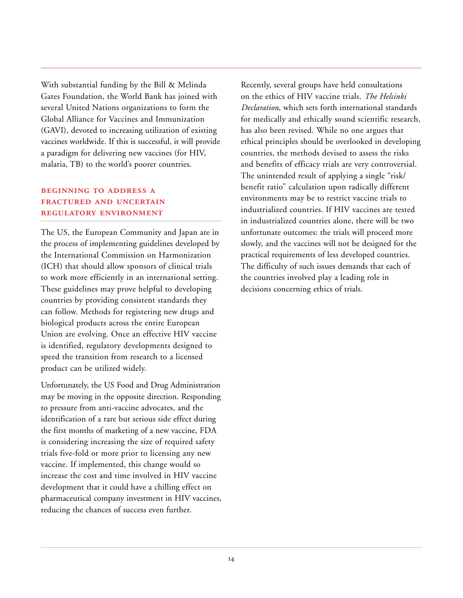With substantial funding by the Bill & Melinda Gates Foundation, the World Bank has joined with several United Nations organizations to form the Global Alliance for Vaccines and Immunization (GAVI), devoted to increasing utilization of existing vaccines worldwide. If this is successful, it will provide a paradigm for delivering new vaccines (for HIV, malaria, TB) to the world's poorer countries.

#### **BEGINNING TO ADDRESS A FRACTURED AND UNCERTAIN REGULATORY ENVIRONMENT**

The US, the European Community and Japan are in the process of implementing guidelines developed by the International Commission on Harmonization (ICH) that should allow sponsors of clinical trials to work more efficiently in an international setting. These guidelines may prove helpful to developing countries by providing consistent standards they can follow. Methods for registering new drugs and biological products across the entire European Union are evolving. Once an effective HIV vaccine is identified, regulatory developments designed to speed the transition from research to a licensed product can be utilized widely.

Unfortunately, the US Food and Drug Administration may be moving in the opposite direction. Responding to pressure from anti-vaccine advocates, and the identification of a rare but serious side effect during the first months of marketing of a new vaccine, FDA is considering increasing the size of required safety trials five-fold or more prior to licensing any new vaccine. If implemented, this change would so increase the cost and time involved in HIV vaccine development that it could have a chilling effect on pharmaceutical company investment in HIV vaccines, reducing the chances of success even further.

Recently, several groups have held consultations on the ethics of HIV vaccine trials. *The Helsinki Declaration*, which sets forth international standards for medically and ethically sound scientific research, has also been revised. While no one argues that ethical principles should be overlooked in developing countries, the methods devised to assess the risks and benefits of efficacy trials are very controversial. The unintended result of applying a single "risk/ benefit ratio" calculation upon radically different environments may be to restrict vaccine trials to industrialized countries. If HIV vaccines are tested in industrialized countries alone, there will be two unfortunate outcomes: the trials will proceed more slowly, and the vaccines will not be designed for the practical requirements of less developed countries. The difficulty of such issues demands that each of the countries involved play a leading role in decisions concerning ethics of trials.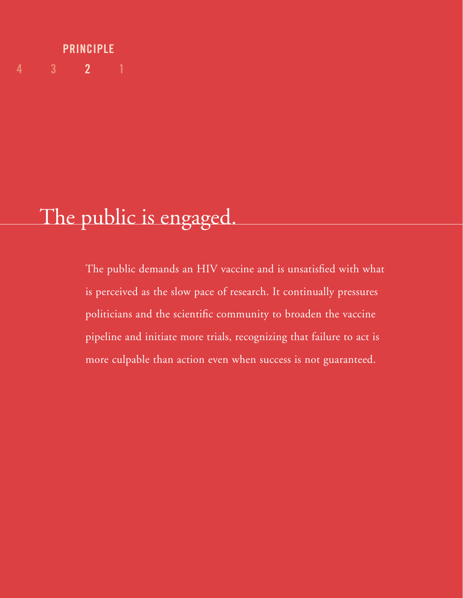## **4 3 2 1 PRINCIPLE**

# The public is engaged.

The public demands an HIV vaccine and is unsatisfied with what is perceived as the slow pace of research. It continually pressures politicians and the scientific community to broaden the vaccine pipeline and initiate more trials, recognizing that failure to act is more culpable than action even when success is not guaranteed.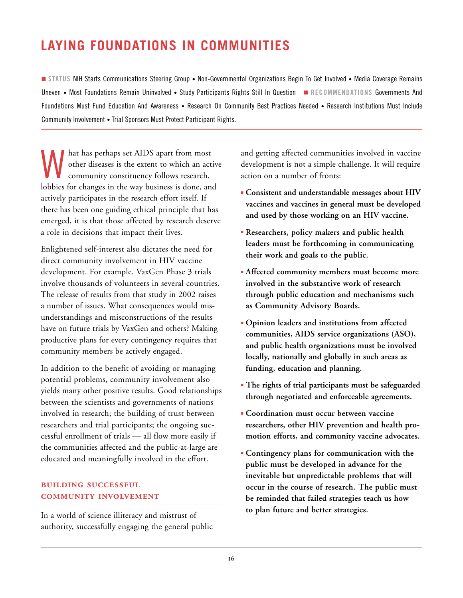# <span id="page-17-0"></span>**LAYING FOUNDATIONS IN COMMUNITIES**

■ **STATUS** NIH Starts Communications Steering Group • Non-Governmental Organizations Begin To Get Involved • Media Coverage Remains Uneven • Most Foundations Remain Uninvolved • Study Participants Rights Still In Question ■ **RECOMMENDATIONS** Governments And Foundations Must Fund Education And Awareness • Research On Community Best Practices Needed • Research Institutions Must Include Community Involvement • Trial Sponsors Must Protect Participant Rights.

What has perhaps set AIDS apart from most<br>other diseases is the extent to which an act<br>community constituency follows research, other diseases is the extent to which an active community constituency follows research, lobbies for changes in the way business is done, and actively participates in the research effort itself. If there has been one guiding ethical principle that has emerged, it is that those affected by research deserve a role in decisions that impact their lives.

Enlightened self-interest also dictates the need for direct community involvement in HIV vaccine development. For example, VaxGen Phase 3 trials involve thousands of volunteers in several countries. The release of results from that study in 2002 raises a number of issues. What consequences would misunderstandings and misconstructions of the results have on future trials by VaxGen and others? Making productive plans for every contingency requires that community members be actively engaged.

In addition to the benefit of avoiding or managing potential problems, community involvement also yields many other positive results. Good relationships between the scientists and governments of nations involved in research; the building of trust between researchers and trial participants; the ongoing successful enrollment of trials — all flow more easily if the communities affected and the public-at-large are educated and meaningfully involved in the effort.

#### **BUILDING SUCCESSFUL COMMUNITY INVOLVEMENT**

In a world of science illiteracy and mistrust of authority, successfully engaging the general public and getting affected communities involved in vaccine development is not a simple challenge. It will require action on a number of fronts:

- **Consistent and understandable messages about HIV vaccines and vaccines in general must be developed and used by those working on an HIV vaccine.**
- **Researchers, policy makers and public health leaders must be forthcoming in communicating their work and goals to the public.**
- **Affected community members must become more involved in the substantive work of research through public education and mechanisms such as Community Advisory Boards.**
- **Opinion leaders and institutions from affected communities, AIDS service organizations (ASO), and public health organizations must be involved locally, nationally and globally in such areas as funding, education and planning.**
- **The rights of trial participants must be safeguarded through negotiated and enforceable agreements.**
- **Coordination must occur between vaccine researchers, other HIV prevention and health promotion efforts, and community vaccine advocates.**
- **Contingency plans for communication with the public must be developed in advance for the inevitable but unpredictable problems that will occur in the course of research. The public must be reminded that failed strategies teach us how to plan future and better strategies.**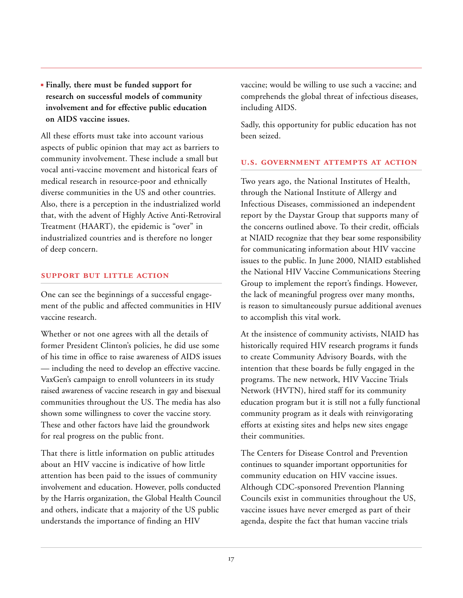■ **Finally, there must be funded support for research on successful models of community involvement and for effective public education on AIDS vaccine issues.**

All these efforts must take into account various aspects of public opinion that may act as barriers to community involvement. These include a small but vocal anti-vaccine movement and historical fears of medical research in resource-poor and ethnically diverse communities in the US and other countries. Also, there is a perception in the industrialized world that, with the advent of Highly Active Anti-Retroviral Treatment (HAART), the epidemic is "over" in industrialized countries and is therefore no longer of deep concern.

#### **SUPPORT BUT LITTLE ACTION**

One can see the beginnings of a successful engagement of the public and affected communities in HIV vaccine research.

Whether or not one agrees with all the details of former President Clinton's policies, he did use some of his time in office to raise awareness of AIDS issues — including the need to develop an effective vaccine. VaxGen's campaign to enroll volunteers in its study raised awareness of vaccine research in gay and bisexual communities throughout the US. The media has also shown some willingness to cover the vaccine story. These and other factors have laid the groundwork for real progress on the public front.

That there is little information on public attitudes about an HIV vaccine is indicative of how little attention has been paid to the issues of community involvement and education. However, polls conducted by the Harris organization, the Global Health Council and others, indicate that a majority of the US public understands the importance of finding an HIV

vaccine; would be willing to use such a vaccine; and comprehends the global threat of infectious diseases, including AIDS.

Sadly, this opportunity for public education has not been seized.

#### **U.S. GOVERNMENT ATTEMPTS AT ACTION**

Two years ago, the National Institutes of Health, through the National Institute of Allergy and Infectious Diseases, commissioned an independent report by the Daystar Group that supports many of the concerns outlined above. To their credit, officials at NIAID recognize that they bear some responsibility for communicating information about HIV vaccine issues to the public. In June 2000, NIAID established the National HIV Vaccine Communications Steering Group to implement the report's findings. However, the lack of meaningful progress over many months, is reason to simultaneously pursue additional avenues to accomplish this vital work.

At the insistence of community activists, NIAID has historically required HIV research programs it funds to create Community Advisory Boards, with the intention that these boards be fully engaged in the programs. The new network, HIV Vaccine Trials Network (HVTN), hired staff for its community education program but it is still not a fully functional community program as it deals with reinvigorating efforts at existing sites and helps new sites engage their communities.

The Centers for Disease Control and Prevention continues to squander important opportunities for community education on HIV vaccine issues. Although CDC-sponsored Prevention Planning Councils exist in communities throughout the US, vaccine issues have never emerged as part of their agenda, despite the fact that human vaccine trials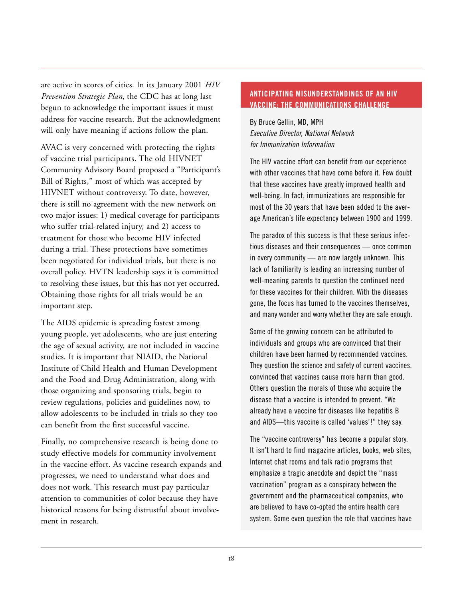<span id="page-19-0"></span>are active in scores of cities. In its January 2001 *HIV Prevention Strategic Plan*, the CDC has at long last begun to acknowledge the important issues it must address for vaccine research. But the acknowledgment will only have meaning if actions follow the plan.

AVAC is very concerned with protecting the rights of vaccine trial participants. The old HIVNET Community Advisory Board proposed a "Participant's Bill of Rights," most of which was accepted by HIVNET without controversy. To date, however, there is still no agreement with the new network on two major issues: 1) medical coverage for participants who suffer trial-related injury, and 2) access to treatment for those who become HIV infected during a trial. These protections have sometimes been negotiated for individual trials, but there is no overall policy. HVTN leadership says it is committed to resolving these issues, but this has not yet occurred. Obtaining those rights for all trials would be an important step.

The AIDS epidemic is spreading fastest among young people, yet adolescents, who are just entering the age of sexual activity, are not included in vaccine studies. It is important that NIAID, the National Institute of Child Health and Human Development and the Food and Drug Administration, along with those organizing and sponsoring trials, begin to review regulations, policies and guidelines now, to allow adolescents to be included in trials so they too can benefit from the first successful vaccine.

Finally, no comprehensive research is being done to study effective models for community involvement in the vaccine effort. As vaccine research expands and progresses, we need to understand what does and does not work. This research must pay particular attention to communities of color because they have historical reasons for being distrustful about involvement in research.

#### **ANTICIPATING MISUNDERSTANDINGS OF AN HIV VACCINE: THE COMMUNICATIONS CHALLENGE**

By Bruce Gellin, MD, MPH *Executive Director, National Network for Immunization Information*

The HIV vaccine effort can benefit from our experience with other vaccines that have come before it. Few doubt that these vaccines have greatly improved health and well-being. In fact, immunizations are responsible for most of the 30 years that have been added to the average American's life expectancy between 1900 and 1999.

The paradox of this success is that these serious infectious diseases and their consequences — once common in every community — are now largely unknown. This lack of familiarity is leading an increasing number of well-meaning parents to question the continued need for these vaccines for their children. With the diseases gone, the focus has turned to the vaccines themselves, and many wonder and worry whether they are safe enough.

Some of the growing concern can be attributed to individuals and groups who are convinced that their children have been harmed by recommended vaccines. They question the science and safety of current vaccines, convinced that vaccines cause more harm than good. Others question the morals of those who acquire the disease that a vaccine is intended to prevent. "We already have a vaccine for diseases like hepatitis B and AIDS—this vaccine is called 'values'!" they say.

The "vaccine controversy" has become a popular story. It isn't hard to find magazine articles, books, web sites, Internet chat rooms and talk radio programs that emphasize a tragic anecdote and depict the "mass vaccination" program as a conspiracy between the government and the pharmaceutical companies, who are believed to have co-opted the entire health care system. Some even question the role that vaccines have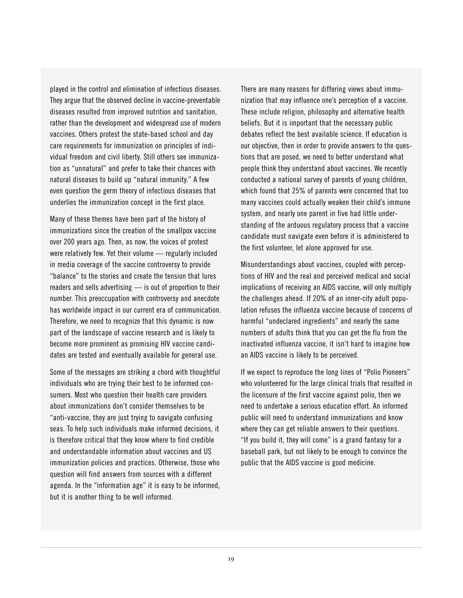played in the control and elimination of infectious diseases. They argue that the observed decline in vaccine-preventable diseases resulted from improved nutrition and sanitation, rather than the development and widespread use of modern vaccines. Others protest the state-based school and day care requirements for immunization on principles of individual freedom and civil liberty. Still others see immunization as "unnatural" and prefer to take their chances with natural diseases to build up "natural immunity." A few even question the germ theory of infectious diseases that underlies the immunization concept in the first place.

Many of these themes have been part of the history of immunizations since the creation of the smallpox vaccine over 200 years ago. Then, as now, the voices of protest were relatively few. Yet their volume — regularly included in media coverage of the vaccine controversy to provide "balance" to the stories and create the tension that lures readers and sells advertising — is out of proportion to their number. This preoccupation with controversy and anecdote has worldwide impact in our current era of communication. Therefore, we need to recognize that this dynamic is now part of the landscape of vaccine research and is likely to become more prominent as promising HIV vaccine candidates are tested and eventually available for general use.

Some of the messages are striking a chord with thoughtful individuals who are trying their best to be informed consumers. Most who question their health care providers about immunizations don't consider themselves to be "anti-vaccine, they are just trying to navigate confusing seas. To help such individuals make informed decisions, it is therefore critical that they know where to find credible and understandable information about vaccines and US immunization policies and practices. Otherwise, those who question will find answers from sources with a different agenda. In the "information age" it is easy to be informed, but it is another thing to be well informed.

There are many reasons for differing views about immunization that may influence one's perception of a vaccine. These include religion, philosophy and alternative health beliefs. But it is important that the necessary public debates reflect the best available science. If education is our objective, then in order to provide answers to the questions that are posed, we need to better understand what people think they understand about vaccines. We recently conducted a national survey of parents of young children, which found that 25% of parents were concerned that too many vaccines could actually weaken their child's immune system, and nearly one parent in five had little understanding of the arduous regulatory process that a vaccine candidate must navigate even before it is administered to the first volunteer, let alone approved for use.

Misunderstandings about vaccines, coupled with perceptions of HIV and the real and perceived medical and social implications of receiving an AIDS vaccine, will only multiply the challenges ahead. If 20% of an inner-city adult population refuses the influenza vaccine because of concerns of harmful "undeclared ingredients" and nearly the same numbers of adults think that you can get the flu from the inactivated influenza vaccine, it isn't hard to imagine how an AIDS vaccine is likely to be perceived.

If we expect to reproduce the long lines of "Polio Pioneers" who volunteered for the large clinical trials that resulted in the licensure of the first vaccine against polio, then we need to undertake a serious education effort. An informed public will need to understand immunizations and know where they can get reliable answers to their questions. "If you build it, they will come" is a grand fantasy for a baseball park, but not likely to be enough to convince the public that the AIDS vaccine is good medicine.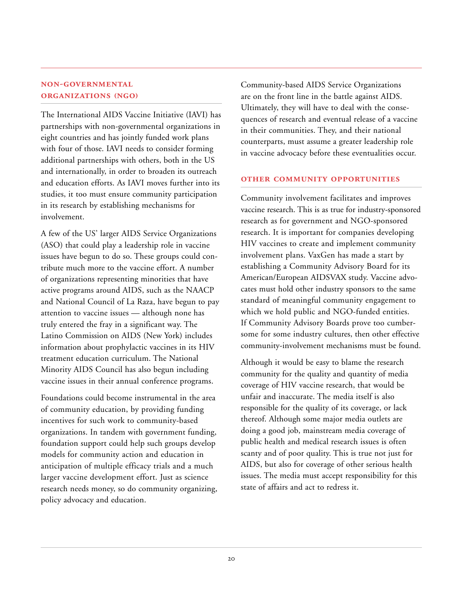#### **NON-GOVERNMENTAL ORGANIZATIONS (NGO)**

The International AIDS Vaccine Initiative (IAVI) has partnerships with non-governmental organizations in eight countries and has jointly funded work plans with four of those. IAVI needs to consider forming additional partnerships with others, both in the US and internationally, in order to broaden its outreach and education efforts. As IAVI moves further into its studies, it too must ensure community participation in its research by establishing mechanisms for involvement.

A few of the US' larger AIDS Service Organizations (ASO) that could play a leadership role in vaccine issues have begun to do so. These groups could contribute much more to the vaccine effort. A number of organizations representing minorities that have active programs around AIDS, such as the NAACP and National Council of La Raza, have begun to pay attention to vaccine issues — although none has truly entered the fray in a significant way. The Latino Commission on AIDS (New York) includes information about prophylactic vaccines in its HIV treatment education curriculum. The National Minority AIDS Council has also begun including vaccine issues in their annual conference programs.

Foundations could become instrumental in the area of community education, by providing funding incentives for such work to community-based organizations. In tandem with government funding, foundation support could help such groups develop models for community action and education in anticipation of multiple efficacy trials and a much larger vaccine development effort. Just as science research needs money, so do community organizing, policy advocacy and education.

Community-based AIDS Service Organizations are on the front line in the battle against AIDS. Ultimately, they will have to deal with the consequences of research and eventual release of a vaccine in their communities. They, and their national counterparts, must assume a greater leadership role in vaccine advocacy before these eventualities occur.

#### **OTHER COMMUNITY OPPORTUNITIES**

Community involvement facilitates and improves vaccine research. This is as true for industry-sponsored research as for government and NGO-sponsored research. It is important for companies developing HIV vaccines to create and implement community involvement plans. VaxGen has made a start by establishing a Community Advisory Board for its American/European AIDSVAX study. Vaccine advocates must hold other industry sponsors to the same standard of meaningful community engagement to which we hold public and NGO-funded entities. If Community Advisory Boards prove too cumbersome for some industry cultures, then other effective community-involvement mechanisms must be found.

Although it would be easy to blame the research community for the quality and quantity of media coverage of HIV vaccine research, that would be unfair and inaccurate. The media itself is also responsible for the quality of its coverage, or lack thereof. Although some major media outlets are doing a good job, mainstream media coverage of public health and medical research issues is often scanty and of poor quality. This is true not just for AIDS, but also for coverage of other serious health issues. The media must accept responsibility for this state of affairs and act to redress it.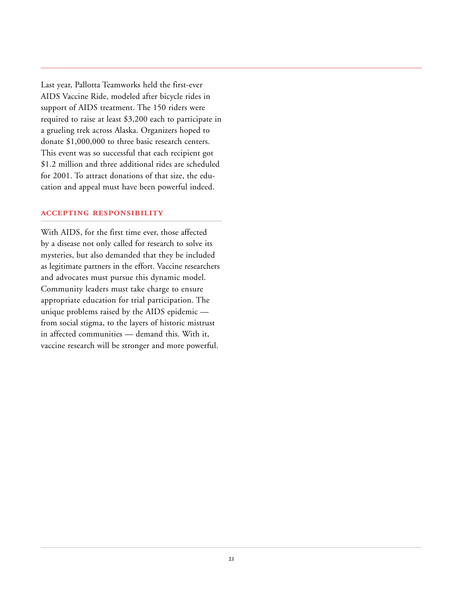Last year, Pallotta Teamworks held the first-ever AIDS Vaccine Ride, modeled after bicycle rides in support of AIDS treatment. The 150 riders were required to raise at least \$3,200 each to participate in a grueling trek across Alaska. Organizers hoped to donate \$1,000,000 to three basic research centers. This event was so successful that each recipient got \$1.2 million and three additional rides are scheduled for 2001. To attract donations of that size, the education and appeal must have been powerful indeed.

#### **ACCEPTING RESPONSIBILITY**

With AIDS, for the first time ever, those affected by a disease not only called for research to solve its mysteries, but also demanded that they be included as legitimate partners in the effort. Vaccine researchers and advocates must pursue this dynamic model. Community leaders must take charge to ensure appropriate education for trial participation. The unique problems raised by the AIDS epidemic from social stigma, to the layers of historic mistrust in affected communities — demand this. With it, vaccine research will be stronger and more powerful.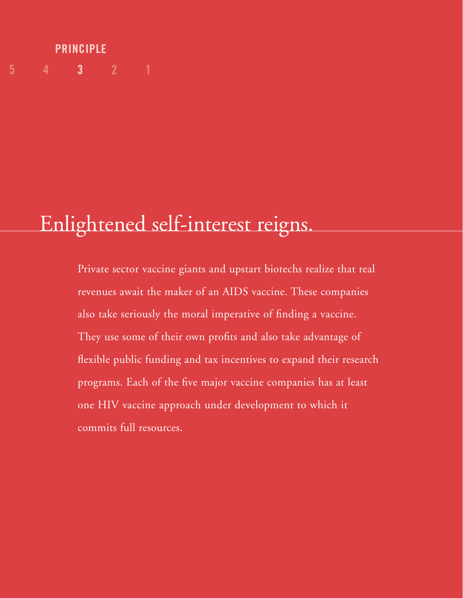## **5 4 3 2 1 PRINCIPLE**

# Enlightened self-interest reigns.

Private sector vaccine giants and upstart biotechs realize that real revenues await the maker of an AIDS vaccine. These companies also take seriously the moral imperative of finding a vaccine. They use some of their own profits and also take advantage of flexible public funding and tax incentives to expand their research programs. Each of the five major vaccine companies has at least one HIV vaccine approach under development to which it commits full resources.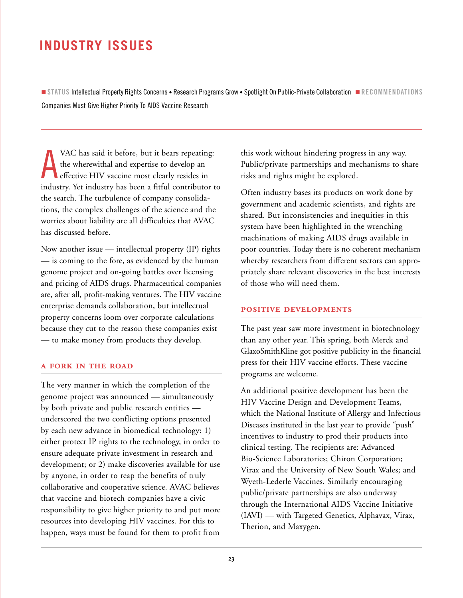## <span id="page-24-0"></span>**INDUSTRY ISSUES**

■ **STATUS** Intellectual Property Rights Concerns • Research Programs Grow • Spotlight On Public-Private Collaboration ■ **RECOMMENDATIONS** Companies Must Give Higher Priority To AIDS Vaccine Research

A VAC has said it before, but it bears repeating: the wherewithal and expertise to develop an effective HIV vaccine most clearly resides in industry. Yet industry has been a fitful contributor to the search. The turbulence of company consolidations, the complex challenges of the science and the worries about liability are all difficulties that AVAC has discussed before.

Now another issue — intellectual property (IP) rights — is coming to the fore, as evidenced by the human genome project and on-going battles over licensing and pricing of AIDS drugs. Pharmaceutical companies are, after all, profit-making ventures. The HIV vaccine enterprise demands collaboration, but intellectual property concerns loom over corporate calculations because they cut to the reason these companies exist — to make money from products they develop.

#### **A FORK IN THE ROAD**

The very manner in which the completion of the genome project was announced — simultaneously by both private and public research entities underscored the two conflicting options presented by each new advance in biomedical technology: 1) either protect IP rights to the technology, in order to ensure adequate private investment in research and development; or 2) make discoveries available for use by anyone, in order to reap the benefits of truly collaborative and cooperative science. AVAC believes that vaccine and biotech companies have a civic responsibility to give higher priority to and put more resources into developing HIV vaccines. For this to happen, ways must be found for them to profit from

this work without hindering progress in any way. Public/private partnerships and mechanisms to share risks and rights might be explored.

Often industry bases its products on work done by government and academic scientists, and rights are shared. But inconsistencies and inequities in this system have been highlighted in the wrenching machinations of making AIDS drugs available in poor countries. Today there is no coherent mechanism whereby researchers from different sectors can appropriately share relevant discoveries in the best interests of those who will need them.

#### **POSITIVE DEVELOPMENTS**

The past year saw more investment in biotechnology than any other year. This spring, both Merck and GlaxoSmithKline got positive publicity in the financial press for their HIV vaccine efforts. These vaccine programs are welcome.

An additional positive development has been the HIV Vaccine Design and Development Teams, which the National Institute of Allergy and Infectious Diseases instituted in the last year to provide "push" incentives to industry to prod their products into clinical testing. The recipients are: Advanced Bio-Science Laboratories; Chiron Corporation; Virax and the University of New South Wales; and Wyeth-Lederle Vaccines. Similarly encouraging public/private partnerships are also underway through the International AIDS Vaccine Initiative (IAVI) — with Targeted Genetics, Alphavax, Virax, Therion, and Maxygen.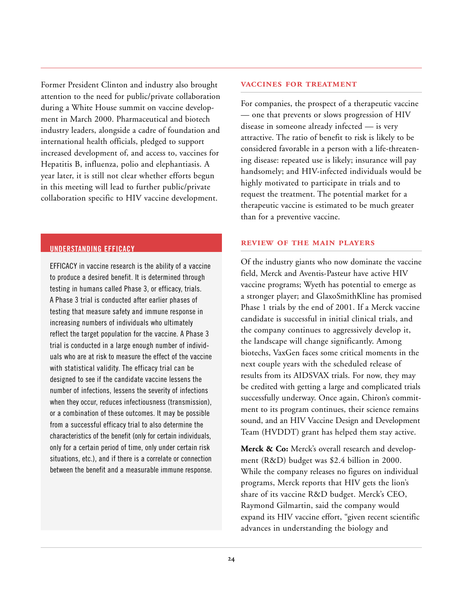<span id="page-25-0"></span>Former President Clinton and industry also brought attention to the need for public/private collaboration during a White House summit on vaccine development in March 2000. Pharmaceutical and biotech industry leaders, alongside a cadre of foundation and international health officials, pledged to support increased development of, and access to, vaccines for Hepatitis B, influenza, polio and elephantiasis. A year later, it is still not clear whether efforts begun in this meeting will lead to further public/private collaboration specific to HIV vaccine development.

#### **UNDERSTANDING EFFICACY**

EFFICACY in vaccine research is the ability of a vaccine to produce a desired benefit. It is determined through testing in humans called Phase 3, or efficacy, trials. A Phase 3 trial is conducted after earlier phases of testing that measure safety and immune response in increasing numbers of individuals who ultimately reflect the target population for the vaccine. A Phase 3 trial is conducted in a large enough number of individuals who are at risk to measure the effect of the vaccine with statistical validity. The efficacy trial can be designed to see if the candidate vaccine lessens the number of infections, lessens the severity of infections when they occur, reduces infectiousness (transmission), or a combination of these outcomes. It may be possible from a successful efficacy trial to also determine the characteristics of the benefit (only for certain individuals, only for a certain period of time, only under certain risk situations, etc.), and if there is a correlate or connection between the benefit and a measurable immune response.

#### **VACCINES FOR TREATMENT**

For companies, the prospect of a therapeutic vaccine — one that prevents or slows progression of HIV disease in someone already infected — is very attractive. The ratio of benefit to risk is likely to be considered favorable in a person with a life-threatening disease: repeated use is likely; insurance will pay handsomely; and HIV-infected individuals would be highly motivated to participate in trials and to request the treatment. The potential market for a therapeutic vaccine is estimated to be much greater than for a preventive vaccine.

#### **REVIEW OF THE MAIN PLAYERS**

Of the industry giants who now dominate the vaccine field, Merck and Aventis-Pasteur have active HIV vaccine programs; Wyeth has potential to emerge as a stronger player; and GlaxoSmithKline has promised Phase 1 trials by the end of 2001. If a Merck vaccine candidate is successful in initial clinical trials, and the company continues to aggressively develop it, the landscape will change significantly. Among biotechs, VaxGen faces some critical moments in the next couple years with the scheduled release of results from its AIDSVAX trials. For now, they may be credited with getting a large and complicated trials successfully underway. Once again, Chiron's commitment to its program continues, their science remains sound, and an HIV Vaccine Design and Development Team (HVDDT) grant has helped them stay active.

**Merck & Co:** Merck's overall research and development (R&D) budget was \$2.4 billion in 2000. While the company releases no figures on individual programs, Merck reports that HIV gets the lion's share of its vaccine R&D budget. Merck's CEO, Raymond Gilmartin, said the company would expand its HIV vaccine effort, "given recent scientific advances in understanding the biology and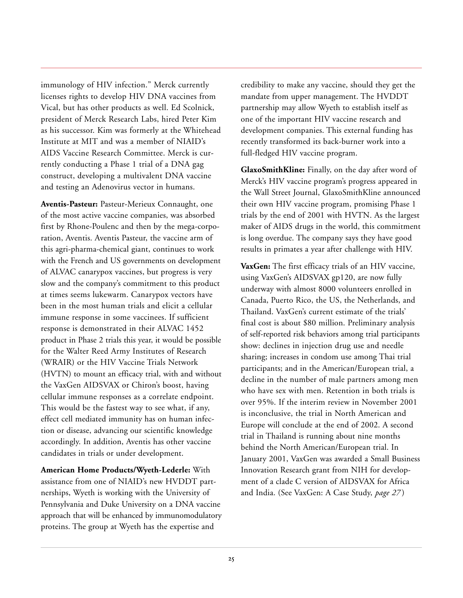immunology of HIV infection." Merck currently licenses rights to develop HIV DNA vaccines from Vical, but has other products as well. Ed Scolnick, president of Merck Research Labs, hired Peter Kim as his successor. Kim was formerly at the Whitehead Institute at MIT and was a member of NIAID's AIDS Vaccine Research Committee. Merck is currently conducting a Phase 1 trial of a DNA gag construct, developing a multivalent DNA vaccine and testing an Adenovirus vector in humans.

**Aventis-Pasteur:** Pasteur-Merieux Connaught, one of the most active vaccine companies, was absorbed first by Rhone-Poulenc and then by the mega-corporation, Aventis. Aventis Pasteur, the vaccine arm of this agri-pharma-chemical giant, continues to work with the French and US governments on development of ALVAC canarypox vaccines, but progress is very slow and the company's commitment to this product at times seems lukewarm. Canarypox vectors have been in the most human trials and elicit a cellular immune response in some vaccinees. If sufficient response is demonstrated in their ALVAC 1452 product in Phase 2 trials this year, it would be possible for the Walter Reed Army Institutes of Research (WRAIR) or the HIV Vaccine Trials Network (HVTN) to mount an efficacy trial, with and without the VaxGen AIDSVAX or Chiron's boost, having cellular immune responses as a correlate endpoint. This would be the fastest way to see what, if any, effect cell mediated immunity has on human infection or disease, advancing our scientific knowledge accordingly. In addition, Aventis has other vaccine candidates in trials or under development.

**American Home Products/Wyeth-Lederle:** With assistance from one of NIAID's new HVDDT partnerships, Wyeth is working with the University of Pennsylvania and Duke University on a DNA vaccine approach that will be enhanced by immunomodulatory proteins. The group at Wyeth has the expertise and

credibility to make any vaccine, should they get the mandate from upper management. The HVDDT partnership may allow Wyeth to establish itself as one of the important HIV vaccine research and development companies. This external funding has recently transformed its back-burner work into a full-fledged HIV vaccine program.

**GlaxoSmithKline:** Finally, on the day after word of Merck's HIV vaccine program's progress appeared in the Wall Street Journal, GlaxoSmithKline announced their own HIV vaccine program, promising Phase 1 trials by the end of 2001 with HVTN. As the largest maker of AIDS drugs in the world, this commitment is long overdue. The company says they have good results in primates a year after challenge with HIV.

**VaxGen:** The first efficacy trials of an HIV vaccine, using VaxGen's AIDSVAX gp120, are now fully underway with almost 8000 volunteers enrolled in Canada, Puerto Rico, the US, the Netherlands, and Thailand. VaxGen's current estimate of the trials' final cost is about \$80 million. Preliminary analysis of self-reported risk behaviors among trial participants show: declines in injection drug use and needle sharing; increases in condom use among Thai trial participants; and in the American/European trial, a decline in the number of male partners among men who have sex with men. Retention in both trials is over 95%. If the interim review in November 2001 is inconclusive, the trial in North American and Europe will conclude at the end of 2002. A second trial in Thailand is running about nine months behind the North American/European trial. In January 2001, VaxGen was awarded a Small Business Innovation Research grant from NIH for development of a clade C version of AIDSVAX for Africa and India. (See VaxGen: A Case Study, *page 27* )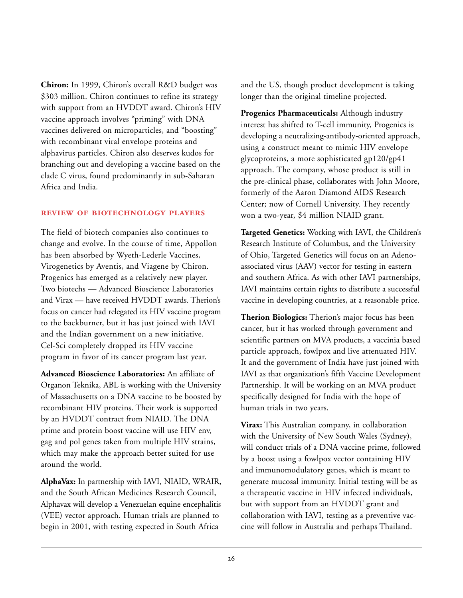**Chiron:** In 1999, Chiron's overall R&D budget was \$303 million. Chiron continues to refine its strategy with support from an HVDDT award. Chiron's HIV vaccine approach involves "priming" with DNA vaccines delivered on microparticles, and "boosting" with recombinant viral envelope proteins and alphavirus particles. Chiron also deserves kudos for branching out and developing a vaccine based on the clade C virus, found predominantly in sub-Saharan Africa and India.

#### **REVIEW OF BIOTECHNOLOGY PLAYERS**

The field of biotech companies also continues to change and evolve. In the course of time, Appollon has been absorbed by Wyeth-Lederle Vaccines, Virogenetics by Aventis, and Viagene by Chiron. Progenics has emerged as a relatively new player. Two biotechs — Advanced Bioscience Laboratories and Virax — have received HVDDT awards. Therion's focus on cancer had relegated its HIV vaccine program to the backburner, but it has just joined with IAVI and the Indian government on a new initiative. Cel-Sci completely dropped its HIV vaccine program in favor of its cancer program last year.

**Advanced Bioscience Laboratories:** An affiliate of Organon Teknika, ABL is working with the University of Massachusetts on a DNA vaccine to be boosted by recombinant HIV proteins. Their work is supported by an HVDDT contract from NIAID. The DNA prime and protein boost vaccine will use HIV env, gag and pol genes taken from multiple HIV strains, which may make the approach better suited for use around the world.

**AlphaVax:** In partnership with IAVI, NIAID, WRAIR, and the South African Medicines Research Council, Alphavax will develop a Venezuelan equine encephalitis (VEE) vector approach. Human trials are planned to begin in 2001, with testing expected in South Africa

and the US, though product development is taking longer than the original timeline projected.

**Progenics Pharmaceuticals:** Although industry interest has shifted to T-cell immunity, Progenics is developing a neutralizing-antibody-oriented approach, using a construct meant to mimic HIV envelope glycoproteins, a more sophisticated gp120/gp41 approach. The company, whose product is still in the pre-clinical phase, collaborates with John Moore, formerly of the Aaron Diamond AIDS Research Center; now of Cornell University. They recently won a two-year, \$4 million NIAID grant.

**Targeted Genetics:** Working with IAVI, the Children's Research Institute of Columbus, and the University of Ohio, Targeted Genetics will focus on an Adenoassociated virus (AAV) vector for testing in eastern and southern Africa. As with other IAVI partnerships, IAVI maintains certain rights to distribute a successful vaccine in developing countries, at a reasonable price.

**Therion Biologics:** Therion's major focus has been cancer, but it has worked through government and scientific partners on MVA products, a vaccinia based particle approach, fowlpox and live attenuated HIV. It and the government of India have just joined with IAVI as that organization's fifth Vaccine Development Partnership. It will be working on an MVA product specifically designed for India with the hope of human trials in two years.

**Virax:** This Australian company, in collaboration with the University of New South Wales (Sydney), will conduct trials of a DNA vaccine prime, followed by a boost using a fowlpox vector containing HIV and immunomodulatory genes, which is meant to generate mucosal immunity. Initial testing will be as a therapeutic vaccine in HIV infected individuals, but with support from an HVDDT grant and collaboration with IAVI, testing as a preventive vaccine will follow in Australia and perhaps Thailand.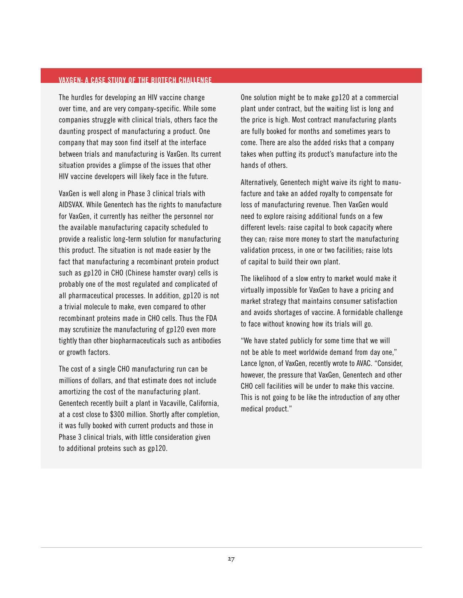#### <span id="page-28-0"></span>**VAXGEN: A CASE STUDY OF THE BIOTECH CHALLENGE**

The hurdles for developing an HIV vaccine change over time, and are very company-specific. While some companies struggle with clinical trials, others face the daunting prospect of manufacturing a product. One company that may soon find itself at the interface between trials and manufacturing is VaxGen. Its current situation provides a glimpse of the issues that other HIV vaccine developers will likely face in the future.

VaxGen is well along in Phase 3 clinical trials with AIDSVAX. While Genentech has the rights to manufacture for VaxGen, it currently has neither the personnel nor the available manufacturing capacity scheduled to provide a realistic long-term solution for manufacturing this product. The situation is not made easier by the fact that manufacturing a recombinant protein product such as gp120 in CHO (Chinese hamster ovary) cells is probably one of the most regulated and complicated of all pharmaceutical processes. In addition, gp120 is not a trivial molecule to make, even compared to other recombinant proteins made in CHO cells. Thus the FDA may scrutinize the manufacturing of gp120 even more tightly than other biopharmaceuticals such as antibodies or growth factors.

The cost of a single CHO manufacturing run can be millions of dollars, and that estimate does not include amortizing the cost of the manufacturing plant. Genentech recently built a plant in Vacaville, California, at a cost close to \$300 million. Shortly after completion, it was fully booked with current products and those in Phase 3 clinical trials, with little consideration given to additional proteins such as gp120.

One solution might be to make gp120 at a commercial plant under contract, but the waiting list is long and the price is high. Most contract manufacturing plants are fully booked for months and sometimes years to come. There are also the added risks that a company takes when putting its product's manufacture into the hands of others.

Alternatively, Genentech might waive its right to manufacture and take an added royalty to compensate for loss of manufacturing revenue. Then VaxGen would need to explore raising additional funds on a few different levels: raise capital to book capacity where they can; raise more money to start the manufacturing validation process, in one or two facilities; raise lots of capital to build their own plant.

The likelihood of a slow entry to market would make it virtually impossible for VaxGen to have a pricing and market strategy that maintains consumer satisfaction and avoids shortages of vaccine. A formidable challenge to face without knowing how its trials will go.

"We have stated publicly for some time that we will not be able to meet worldwide demand from day one," Lance Ignon, of VaxGen, recently wrote to AVAC. "Consider, however, the pressure that VaxGen, Genentech and other CHO cell facilities will be under to make this vaccine. This is not going to be like the introduction of any other medical product."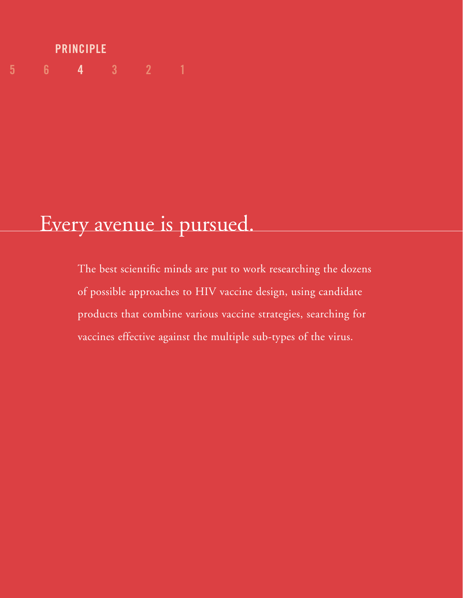# **PRINCIPLE 5 6 4 321**

# Every avenue is pursued.

The best scientific minds are put to work researching the dozens of possible approaches to HIV vaccine design, using candidate products that combine various vaccine strategies, searching for vaccines effective against the multiple sub-types of the virus.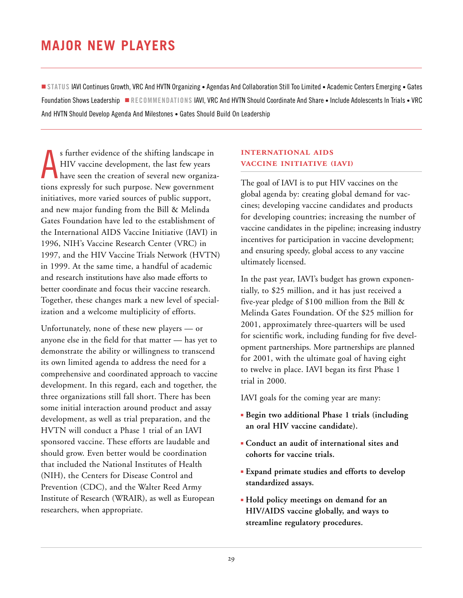## <span id="page-30-0"></span>**MAJOR NEW PLAYERS**

■ **STATUS** IAVI Continues Growth, VRC And HVTN Organizing • Agendas And Collaboration Still Too Limited • Academic Centers Emerging • Gates Foundation Shows Leadership ■ **RECOMMENDATIONS** IAVI, VRC And HVTN Should Coordinate And Share • Include Adolescents In Trials • VRC And HVTN Should Develop Agenda And Milestones • Gates Should Build On Leadership

A s further evidence of the shifting landscape in HIV vaccine development, the last few years have seen the creation of several new organizations expressly for such purpose. New government initiatives, more varied sources of public support, and new major funding from the Bill & Melinda Gates Foundation have led to the establishment of the International AIDS Vaccine Initiative (IAVI) in 1996, NIH's Vaccine Research Center (VRC) in 1997, and the HIV Vaccine Trials Network (HVTN) in 1999. At the same time, a handful of academic and research institutions have also made efforts to better coordinate and focus their vaccine research. Together, these changes mark a new level of specialization and a welcome multiplicity of efforts.

Unfortunately, none of these new players — or anyone else in the field for that matter — has yet to demonstrate the ability or willingness to transcend its own limited agenda to address the need for a comprehensive and coordinated approach to vaccine development. In this regard, each and together, the three organizations still fall short. There has been some initial interaction around product and assay development, as well as trial preparation, and the HVTN will conduct a Phase 1 trial of an IAVI sponsored vaccine. These efforts are laudable and should grow. Even better would be coordination that included the National Institutes of Health (NIH), the Centers for Disease Control and Prevention (CDC), and the Walter Reed Army Institute of Research (WRAIR), as well as European researchers, when appropriate.

#### **INTERNATIONAL AIDS VACCINE INITIATIVE (IAVI)**

The goal of IAVI is to put HIV vaccines on the global agenda by: creating global demand for vaccines; developing vaccine candidates and products for developing countries; increasing the number of vaccine candidates in the pipeline; increasing industry incentives for participation in vaccine development; and ensuring speedy, global access to any vaccine ultimately licensed.

In the past year, IAVI's budget has grown exponentially, to \$25 million, and it has just received a five-year pledge of \$100 million from the Bill & Melinda Gates Foundation. Of the \$25 million for 2001, approximately three-quarters will be used for scientific work, including funding for five development partnerships. More partnerships are planned for 2001, with the ultimate goal of having eight to twelve in place. IAVI began its first Phase 1 trial in 2000.

IAVI goals for the coming year are many:

- **Begin two additional Phase 1 trials (including an oral HIV vaccine candidate).**
- **Conduct an audit of international sites and cohorts for vaccine trials.**
- **Expand primate studies and efforts to develop standardized assays.**
- **Hold policy meetings on demand for an HIV/AIDS vaccine globally, and ways to streamline regulatory procedures.**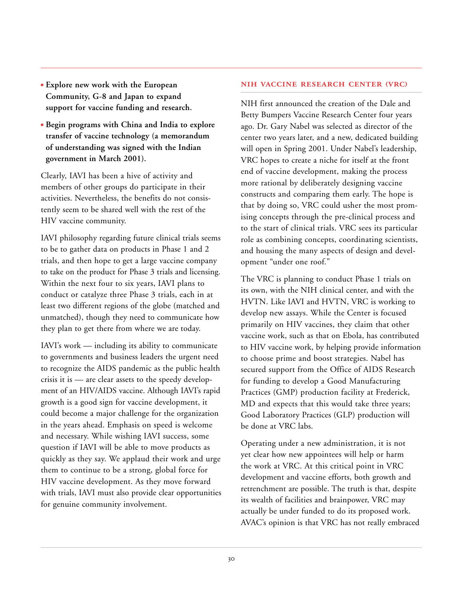- **Explore new work with the European Community, G-8 and Japan to expand support for vaccine funding and research.**
- **Begin programs with China and India to explore transfer of vaccine technology (a memorandum of understanding was signed with the Indian government in March 2001).**

Clearly, IAVI has been a hive of activity and members of other groups do participate in their activities. Nevertheless, the benefits do not consistently seem to be shared well with the rest of the HIV vaccine community.

IAVI philosophy regarding future clinical trials seems to be to gather data on products in Phase 1 and 2 trials, and then hope to get a large vaccine company to take on the product for Phase 3 trials and licensing. Within the next four to six years, IAVI plans to conduct or catalyze three Phase 3 trials, each in at least two different regions of the globe (matched and unmatched), though they need to communicate how they plan to get there from where we are today.

IAVI's work — including its ability to communicate to governments and business leaders the urgent need to recognize the AIDS pandemic as the public health crisis it is — are clear assets to the speedy development of an HIV/AIDS vaccine. Although IAVI's rapid growth is a good sign for vaccine development, it could become a major challenge for the organization in the years ahead. Emphasis on speed is welcome and necessary. While wishing IAVI success, some question if IAVI will be able to move products as quickly as they say. We applaud their work and urge them to continue to be a strong, global force for HIV vaccine development. As they move forward with trials, IAVI must also provide clear opportunities for genuine community involvement.

#### **NIH VACCINE RESEARCH CENTER (VRC)**

NIH first announced the creation of the Dale and Betty Bumpers Vaccine Research Center four years ago. Dr. Gary Nabel was selected as director of the center two years later, and a new, dedicated building will open in Spring 2001. Under Nabel's leadership, VRC hopes to create a niche for itself at the front end of vaccine development, making the process more rational by deliberately designing vaccine constructs and comparing them early. The hope is that by doing so, VRC could usher the most promising concepts through the pre-clinical process and to the start of clinical trials. VRC sees its particular role as combining concepts, coordinating scientists, and housing the many aspects of design and development "under one roof."

The VRC is planning to conduct Phase 1 trials on its own, with the NIH clinical center, and with the HVTN. Like IAVI and HVTN, VRC is working to develop new assays. While the Center is focused primarily on HIV vaccines, they claim that other vaccine work, such as that on Ebola, has contributed to HIV vaccine work, by helping provide information to choose prime and boost strategies. Nabel has secured support from the Office of AIDS Research for funding to develop a Good Manufacturing Practices (GMP) production facility at Frederick, MD and expects that this would take three years; Good Laboratory Practices (GLP) production will be done at VRC labs.

Operating under a new administration, it is not yet clear how new appointees will help or harm the work at VRC. At this critical point in VRC development and vaccine efforts, both growth and retrenchment are possible. The truth is that, despite its wealth of facilities and brainpower, VRC may actually be under funded to do its proposed work. AVAC's opinion is that VRC has not really embraced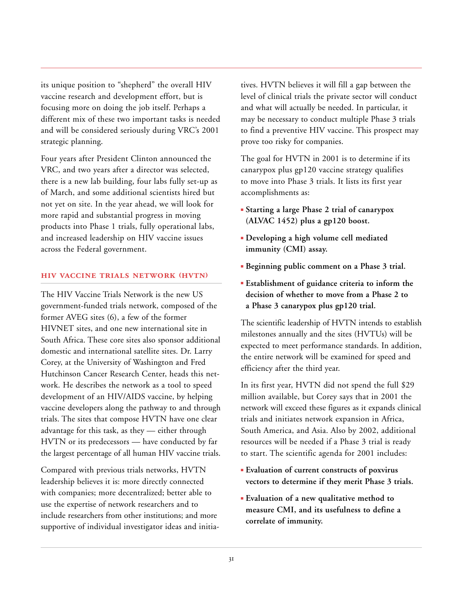its unique position to "shepherd" the overall HIV vaccine research and development effort, but is focusing more on doing the job itself. Perhaps a different mix of these two important tasks is needed and will be considered seriously during VRC's 2001 strategic planning.

Four years after President Clinton announced the VRC, and two years after a director was selected, there is a new lab building, four labs fully set-up as of March, and some additional scientists hired but not yet on site. In the year ahead, we will look for more rapid and substantial progress in moving products into Phase 1 trials, fully operational labs, and increased leadership on HIV vaccine issues across the Federal government.

#### **HIV VACCINE TRIALS NETWORK (HVTN)**

The HIV Vaccine Trials Network is the new US government-funded trials network, composed of the former AVEG sites (6), a few of the former HIVNET sites, and one new international site in South Africa. These core sites also sponsor additional domestic and international satellite sites. Dr. Larry Corey, at the University of Washington and Fred Hutchinson Cancer Research Center, heads this network. He describes the network as a tool to speed development of an HIV/AIDS vaccine, by helping vaccine developers along the pathway to and through trials. The sites that compose HVTN have one clear advantage for this task, as they — either through HVTN or its predecessors — have conducted by far the largest percentage of all human HIV vaccine trials.

Compared with previous trials networks, HVTN leadership believes it is: more directly connected with companies; more decentralized; better able to use the expertise of network researchers and to include researchers from other institutions; and more supportive of individual investigator ideas and initiatives. HVTN believes it will fill a gap between the level of clinical trials the private sector will conduct and what will actually be needed. In particular, it may be necessary to conduct multiple Phase 3 trials to find a preventive HIV vaccine. This prospect may prove too risky for companies.

The goal for HVTN in 2001 is to determine if its canarypox plus gp120 vaccine strategy qualifies to move into Phase 3 trials. It lists its first year accomplishments as:

- **Starting a large Phase 2 trial of canarypox (ALVAC 1452) plus a gp120 boost.**
- **Developing a high volume cell mediated immunity (CMI) assay.**
- **Beginning public comment on a Phase 3 trial.**
- **Establishment of guidance criteria to inform the decision of whether to move from a Phase 2 to a Phase 3 canarypox plus gp120 trial.**

The scientific leadership of HVTN intends to establish milestones annually and the sites (HVTUs) will be expected to meet performance standards. In addition, the entire network will be examined for speed and efficiency after the third year.

In its first year, HVTN did not spend the full \$29 million available, but Corey says that in 2001 the network will exceed these figures as it expands clinical trials and initiates network expansion in Africa, South America, and Asia. Also by 2002, additional resources will be needed if a Phase 3 trial is ready to start. The scientific agenda for 2001 includes:

- **Evaluation of current constructs of poxvirus vectors to determine if they merit Phase 3 trials.**
- **Evaluation of a new qualitative method to measure CMI, and its usefulness to define a correlate of immunity.**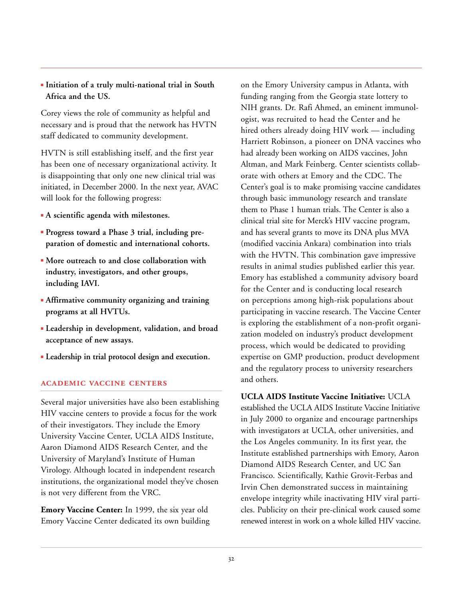■ **Initiation of a truly multi-national trial in South Africa and the US.**

Corey views the role of community as helpful and necessary and is proud that the network has HVTN staff dedicated to community development.

HVTN is still establishing itself, and the first year has been one of necessary organizational activity. It is disappointing that only one new clinical trial was initiated, in December 2000. In the next year, AVAC will look for the following progress:

- **A scientific agenda with milestones.**
- **Progress toward a Phase 3 trial, including preparation of domestic and international cohorts.**
- **More outreach to and close collaboration with industry, investigators, and other groups, including IAVI.**
- **Affirmative community organizing and training programs at all HVTUs.**
- **Leadership in development, validation, and broad acceptance of new assays.**
- **Leadership in trial protocol design and execution.**

#### **ACADEMIC VACCINE CENTERS**

Several major universities have also been establishing HIV vaccine centers to provide a focus for the work of their investigators. They include the Emory University Vaccine Center, UCLA AIDS Institute, Aaron Diamond AIDS Research Center, and the University of Maryland's Institute of Human Virology. Although located in independent research institutions, the organizational model they've chosen is not very different from the VRC.

**Emory Vaccine Center:** In 1999, the six year old Emory Vaccine Center dedicated its own building on the Emory University campus in Atlanta, with funding ranging from the Georgia state lottery to NIH grants. Dr. Rafi Ahmed, an eminent immunologist, was recruited to head the Center and he hired others already doing HIV work — including Harriett Robinson, a pioneer on DNA vaccines who had already been working on AIDS vaccines, John Altman, and Mark Feinberg. Center scientists collaborate with others at Emory and the CDC. The Center's goal is to make promising vaccine candidates through basic immunology research and translate them to Phase 1 human trials. The Center is also a clinical trial site for Merck's HIV vaccine program, and has several grants to move its DNA plus MVA (modified vaccinia Ankara) combination into trials with the HVTN. This combination gave impressive results in animal studies published earlier this year. Emory has established a community advisory board for the Center and is conducting local research on perceptions among high-risk populations about participating in vaccine research. The Vaccine Center is exploring the establishment of a non-profit organization modeled on industry's product development process, which would be dedicated to providing expertise on GMP production, product development and the regulatory process to university researchers and others.

**UCLA AIDS Institute Vaccine Initiative:** UCLA

established the UCLA AIDS Institute Vaccine Initiative in July 2000 to organize and encourage partnerships with investigators at UCLA, other universities, and the Los Angeles community. In its first year, the Institute established partnerships with Emory, Aaron Diamond AIDS Research Center, and UC San Francisco. Scientifically, Kathie Grovit-Ferbas and Irvin Chen demonstrated success in maintaining envelope integrity while inactivating HIV viral particles. Publicity on their pre-clinical work caused some renewed interest in work on a whole killed HIV vaccine.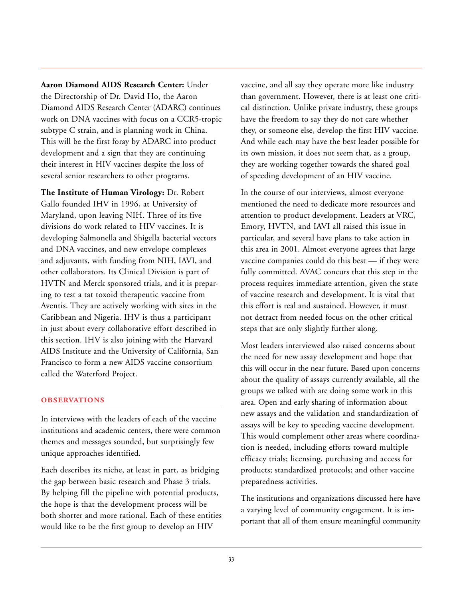**Aaron Diamond AIDS Research Center:** Under the Directorship of Dr. David Ho, the Aaron Diamond AIDS Research Center (ADARC) continues work on DNA vaccines with focus on a CCR5-tropic subtype C strain, and is planning work in China. This will be the first foray by ADARC into product development and a sign that they are continuing their interest in HIV vaccines despite the loss of several senior researchers to other programs.

**The Institute of Human Virology:** Dr. Robert Gallo founded IHV in 1996, at University of Maryland, upon leaving NIH. Three of its five divisions do work related to HIV vaccines. It is developing Salmonella and Shigella bacterial vectors and DNA vaccines, and new envelope complexes and adjuvants, with funding from NIH, IAVI, and other collaborators. Its Clinical Division is part of HVTN and Merck sponsored trials, and it is preparing to test a tat toxoid therapeutic vaccine from Aventis. They are actively working with sites in the Caribbean and Nigeria. IHV is thus a participant in just about every collaborative effort described in this section. IHV is also joining with the Harvard AIDS Institute and the University of California, San Francisco to form a new AIDS vaccine consortium called the Waterford Project.

#### **OBSERVATIONS**

In interviews with the leaders of each of the vaccine institutions and academic centers, there were common themes and messages sounded, but surprisingly few unique approaches identified.

Each describes its niche, at least in part, as bridging the gap between basic research and Phase 3 trials. By helping fill the pipeline with potential products, the hope is that the development process will be both shorter and more rational. Each of these entities would like to be the first group to develop an HIV

vaccine, and all say they operate more like industry than government. However, there is at least one critical distinction. Unlike private industry, these groups have the freedom to say they do not care whether they, or someone else, develop the first HIV vaccine. And while each may have the best leader possible for its own mission, it does not seem that, as a group, they are working together towards the shared goal of speeding development of an HIV vaccine.

In the course of our interviews, almost everyone mentioned the need to dedicate more resources and attention to product development. Leaders at VRC, Emory, HVTN, and IAVI all raised this issue in particular, and several have plans to take action in this area in 2001. Almost everyone agrees that large vaccine companies could do this best — if they were fully committed. AVAC concurs that this step in the process requires immediate attention, given the state of vaccine research and development. It is vital that this effort is real and sustained. However, it must not detract from needed focus on the other critical steps that are only slightly further along.

Most leaders interviewed also raised concerns about the need for new assay development and hope that this will occur in the near future. Based upon concerns about the quality of assays currently available, all the groups we talked with are doing some work in this area. Open and early sharing of information about new assays and the validation and standardization of assays will be key to speeding vaccine development. This would complement other areas where coordination is needed, including efforts toward multiple efficacy trials; licensing, purchasing and access for products; standardized protocols; and other vaccine preparedness activities.

The institutions and organizations discussed here have a varying level of community engagement. It is important that all of them ensure meaningful community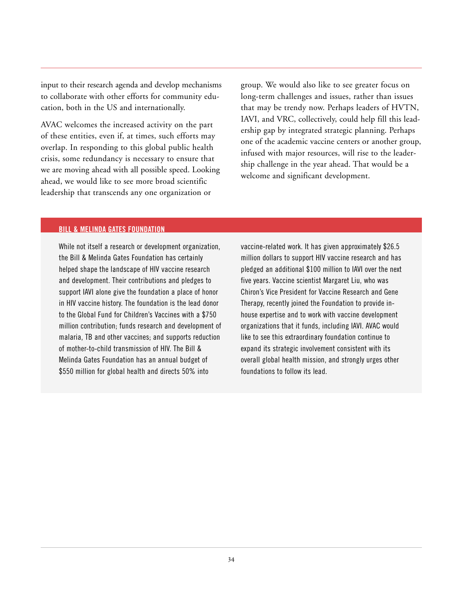<span id="page-35-0"></span>input to their research agenda and develop mechanisms to collaborate with other efforts for community education, both in the US and internationally.

AVAC welcomes the increased activity on the part of these entities, even if, at times, such efforts may overlap. In responding to this global public health crisis, some redundancy is necessary to ensure that we are moving ahead with all possible speed. Looking ahead, we would like to see more broad scientific leadership that transcends any one organization or

group. We would also like to see greater focus on long-term challenges and issues, rather than issues that may be trendy now. Perhaps leaders of HVTN, IAVI, and VRC, collectively, could help fill this leadership gap by integrated strategic planning. Perhaps one of the academic vaccine centers or another group, infused with major resources, will rise to the leadership challenge in the year ahead. That would be a welcome and significant development.

#### **BILL & MELINDA GATES FOUNDATION**

While not itself a research or development organization, the Bill & Melinda Gates Foundation has certainly helped shape the landscape of HIV vaccine research and development. Their contributions and pledges to support IAVI alone give the foundation a place of honor in HIV vaccine history. The foundation is the lead donor to the Global Fund for Children's Vaccines with a \$750 million contribution; funds research and development of malaria, TB and other vaccines; and supports reduction of mother-to-child transmission of HIV. The Bill & Melinda Gates Foundation has an annual budget of \$550 million for global health and directs 50% into

vaccine-related work. It has given approximately \$26.5 million dollars to support HIV vaccine research and has pledged an additional \$100 million to IAVI over the next five years. Vaccine scientist Margaret Liu, who was Chiron's Vice President for Vaccine Research and Gene Therapy, recently joined the Foundation to provide inhouse expertise and to work with vaccine development organizations that it funds, including IAVI. AVAC would like to see this extraordinary foundation continue to expand its strategic involvement consistent with its overall global health mission, and strongly urges other foundations to follow its lead.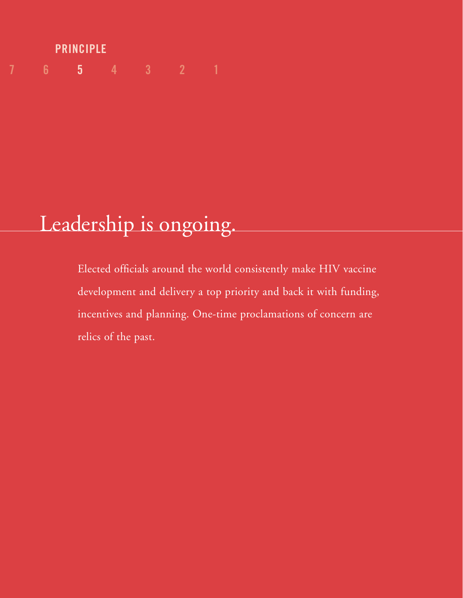# **7 6 5 4321 PRINCIPLE**

# Leadership is ongoing.

Elected officials around the world consistently make HIV vaccine development and delivery a top priority and back it with funding, incentives and planning. One-time proclamations of concern are relics of the past.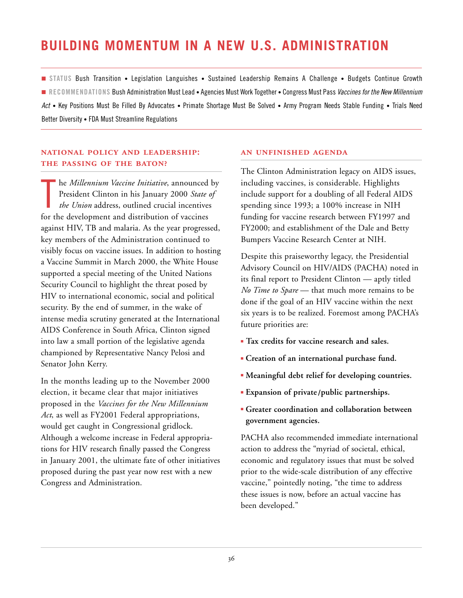## <span id="page-37-0"></span>**BUILDING MOMENTUM IN A NEW U.S. ADMINISTRATION**

■ **STATUS** Bush Transition • Legislation Languishes • Sustained Leadership Remains A Challenge • Budgets Continue Growth ■ **RECOMMENDATIONS** Bush Administration Must Lead • Agencies Must Work Together • Congress Must Pass *Vaccines for the New Millennium Act* • Key Positions Must Be Filled By Advocates • Primate Shortage Must Be Solved • Army Program Needs Stable Funding • Trials Need Better Diversity • FDA Must Streamline Regulations

#### **NATIONAL POLICY AND LEADERSHIP:** THE PASSING OF THE BATON?

T he *Millennium Vaccine Initiative*, announced by President Clinton in his January 2000 *State of the Union* address, outlined crucial incentives for the development and distribution of vaccines against HIV, TB and malaria. As the year progressed, key members of the Administration continued to visibly focus on vaccine issues. In addition to hosting a Vaccine Summit in March 2000, the White House supported a special meeting of the United Nations Security Council to highlight the threat posed by HIV to international economic, social and political security. By the end of summer, in the wake of intense media scrutiny generated at the International AIDS Conference in South Africa, Clinton signed into law a small portion of the legislative agenda championed by Representative Nancy Pelosi and Senator John Kerry.

In the months leading up to the November 2000 election, it became clear that major initiatives proposed in the *Vaccines for the New Millennium Act*, as well as FY2001 Federal appropriations, would get caught in Congressional gridlock. Although a welcome increase in Federal appropriations for HIV research finally passed the Congress in January 2001, the ultimate fate of other initiatives proposed during the past year now rest with a new Congress and Administration.

#### **AN UNFINISHED AGENDA**

The Clinton Administration legacy on AIDS issues, including vaccines, is considerable. Highlights include support for a doubling of all Federal AIDS spending since 1993; a 100% increase in NIH funding for vaccine research between FY1997 and FY2000; and establishment of the Dale and Betty Bumpers Vaccine Research Center at NIH.

Despite this praiseworthy legacy, the Presidential Advisory Council on HIV/AIDS (PACHA) noted in its final report to President Clinton — aptly titled *No Time to Spare* — that much more remains to be done if the goal of an HIV vaccine within the next six years is to be realized. Foremost among PACHA's future priorities are:

- **Tax credits for vaccine research and sales.**
- **Creation of an international purchase fund.**
- **Meaningful debt relief for developing countries.**
- **Expansion of private /public partnerships.**
- **Greater coordination and collaboration between government agencies.**

PACHA also recommended immediate international action to address the "myriad of societal, ethical, economic and regulatory issues that must be solved prior to the wide-scale distribution of any effective vaccine," pointedly noting, "the time to address these issues is now, before an actual vaccine has been developed."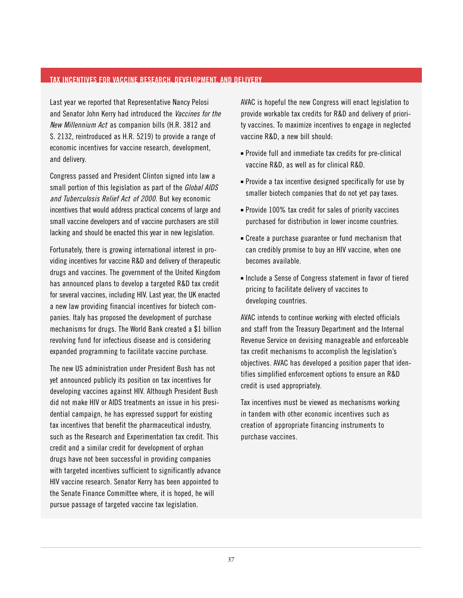#### <span id="page-38-0"></span>**TAX INCENTIVES FOR VACCINE RESEARCH, DEVELOPMENT, AND DELIVERY**

Last year we reported that Representative Nancy Pelosi and Senator John Kerry had introduced the *Vaccines for the New Millennium Act* as companion bills (H.R. 3812 and S. 2132, reintroduced as H.R. 5219) to provide a range of economic incentives for vaccine research, development, and delivery.

Congress passed and President Clinton signed into law a small portion of this legislation as part of the *Global AIDS and Tuberculosis Relief Act of 2000*. But key economic incentives that would address practical concerns of large and small vaccine developers and of vaccine purchasers are still lacking and should be enacted this year in new legislation.

Fortunately, there is growing international interest in providing incentives for vaccine R&D and delivery of therapeutic drugs and vaccines. The government of the United Kingdom has announced plans to develop a targeted R&D tax credit for several vaccines, including HIV. Last year, the UK enacted a new law providing financial incentives for biotech companies. Italy has proposed the development of purchase mechanisms for drugs. The World Bank created a \$1 billion revolving fund for infectious disease and is considering expanded programming to facilitate vaccine purchase.

The new US administration under President Bush has not yet announced publicly its position on tax incentives for developing vaccines against HIV. Although President Bush did not make HIV or AIDS treatments an issue in his presidential campaign, he has expressed support for existing tax incentives that benefit the pharmaceutical industry, such as the Research and Experimentation tax credit. This credit and a similar credit for development of orphan drugs have not been successful in providing companies with targeted incentives sufficient to significantly advance HIV vaccine research. Senator Kerry has been appointed to the Senate Finance Committee where, it is hoped, he will pursue passage of targeted vaccine tax legislation.

AVAC is hopeful the new Congress will enact legislation to provide workable tax credits for R&D and delivery of priority vaccines. To maximize incentives to engage in neglected vaccine R&D, a new bill should:

- Provide full and immediate tax credits for pre-clinical vaccine R&D, as well as for clinical R&D.
- Provide a tax incentive designed specifically for use by smaller biotech companies that do not yet pay taxes.
- Provide 100% tax credit for sales of priority vaccines purchased for distribution in lower income countries.
- Create a purchase guarantee or fund mechanism that can credibly promise to buy an HIV vaccine, when one becomes available.
- Include a Sense of Congress statement in favor of tiered pricing to facilitate delivery of vaccines to developing countries.

AVAC intends to continue working with elected officials and staff from the Treasury Department and the Internal Revenue Service on devising manageable and enforceable tax credit mechanisms to accomplish the legislation's objectives. AVAC has developed a position paper that identifies simplified enforcement options to ensure an R&D credit is used appropriately.

Tax incentives must be viewed as mechanisms working in tandem with other economic incentives such as creation of appropriate financing instruments to purchase vaccines.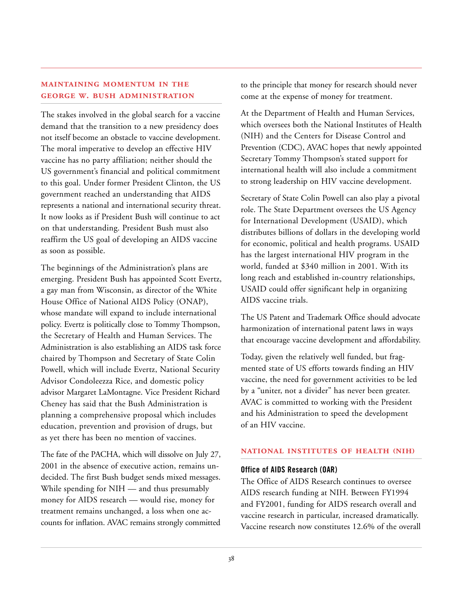#### **MAINTAINING MOMENTUM IN THE GEORGE W. BUSH ADMINISTRATION**

The stakes involved in the global search for a vaccine demand that the transition to a new presidency does not itself become an obstacle to vaccine development. The moral imperative to develop an effective HIV vaccine has no party affiliation; neither should the US government's financial and political commitment to this goal. Under former President Clinton, the US government reached an understanding that AIDS represents a national and international security threat. It now looks as if President Bush will continue to act on that understanding. President Bush must also reaffirm the US goal of developing an AIDS vaccine as soon as possible.

The beginnings of the Administration's plans are emerging. President Bush has appointed Scott Evertz, a gay man from Wisconsin, as director of the White House Office of National AIDS Policy (ONAP), whose mandate will expand to include international policy. Evertz is politically close to Tommy Thompson, the Secretary of Health and Human Services. The Administration is also establishing an AIDS task force chaired by Thompson and Secretary of State Colin Powell, which will include Evertz, National Security Advisor Condoleezza Rice, and domestic policy advisor Margaret LaMontagne. Vice President Richard Cheney has said that the Bush Administration is planning a comprehensive proposal which includes education, prevention and provision of drugs, but as yet there has been no mention of vaccines.

The fate of the PACHA, which will dissolve on July 27, 2001 in the absence of executive action, remains undecided. The first Bush budget sends mixed messages. While spending for NIH — and thus presumably money for AIDS research — would rise, money for treatment remains unchanged, a loss when one accounts for inflation. AVAC remains strongly committed to the principle that money for research should never come at the expense of money for treatment.

At the Department of Health and Human Services, which oversees both the National Institutes of Health (NIH) and the Centers for Disease Control and Prevention (CDC), AVAC hopes that newly appointed Secretary Tommy Thompson's stated support for international health will also include a commitment to strong leadership on HIV vaccine development.

Secretary of State Colin Powell can also play a pivotal role. The State Department oversees the US Agency for International Development (USAID), which distributes billions of dollars in the developing world for economic, political and health programs. USAID has the largest international HIV program in the world, funded at \$340 million in 2001. With its long reach and established in-country relationships, USAID could offer significant help in organizing AIDS vaccine trials.

The US Patent and Trademark Office should advocate harmonization of international patent laws in ways that encourage vaccine development and affordability.

Today, given the relatively well funded, but fragmented state of US efforts towards finding an HIV vaccine, the need for government activities to be led by a "uniter, not a divider" has never been greater. AVAC is committed to working with the President and his Administration to speed the development of an HIV vaccine.

#### **NATIONAL INSTITUTES OF HEALTH (NIH)**

#### **Office of AIDS Research (OAR)**

The Office of AIDS Research continues to oversee AIDS research funding at NIH. Between FY1994 and FY2001, funding for AIDS research overall and vaccine research in particular, increased dramatically. Vaccine research now constitutes 12.6% of the overall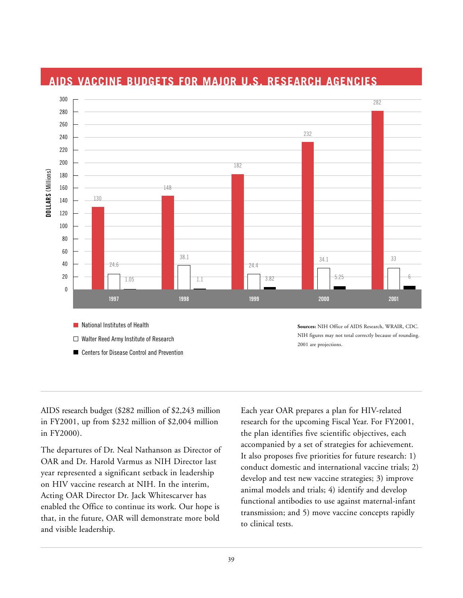

### <span id="page-40-0"></span>**AIDS VACCINE BUDGETS FOR MAJOR U.S. RESEARCH AGENCIES**

- 
- $\Box$  Walter Reed Army Institute of Research
- Centers for Disease Control and Prevention

NIH figures may not total correctly because of rounding. 2001 are projections.

AIDS research budget (\$282 million of \$2,243 million in FY2001, up from \$232 million of \$2,004 million in FY2000).

The departures of Dr. Neal Nathanson as Director of OAR and Dr. Harold Varmus as NIH Director last year represented a significant setback in leadership on HIV vaccine research at NIH. In the interim, Acting OAR Director Dr. Jack Whitescarver has enabled the Office to continue its work. Our hope is that, in the future, OAR will demonstrate more bold and visible leadership.

Each year OAR prepares a plan for HIV-related research for the upcoming Fiscal Year. For FY2001, the plan identifies five scientific objectives, each accompanied by a set of strategies for achievement. It also proposes five priorities for future research: 1) conduct domestic and international vaccine trials; 2) develop and test new vaccine strategies; 3) improve animal models and trials; 4) identify and develop functional antibodies to use against maternal-infant transmission; and 5) move vaccine concepts rapidly to clinical tests.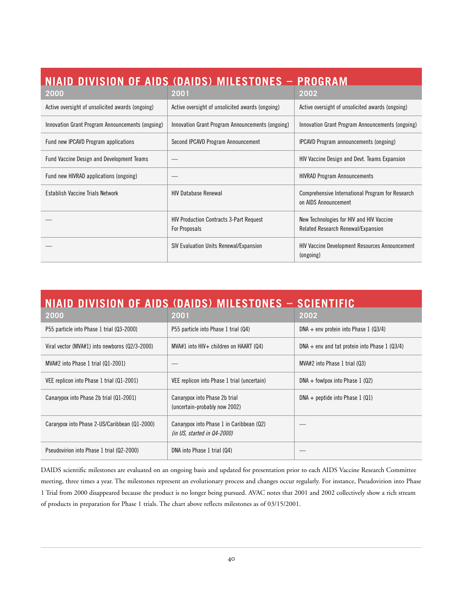<span id="page-41-0"></span>

| NIAID DIVISION OF AIDS (DAIDS) MILESTONES - PROGRAM |                                                                 |                                                                                |  |  |  |  |  |  |
|-----------------------------------------------------|-----------------------------------------------------------------|--------------------------------------------------------------------------------|--|--|--|--|--|--|
| 2000                                                | 2001                                                            | 2002                                                                           |  |  |  |  |  |  |
| Active oversight of unsolicited awards (ongoing)    | Active oversight of unsolicited awards (ongoing)                | Active oversight of unsolicited awards (ongoing)                               |  |  |  |  |  |  |
| Innovation Grant Program Announcements (ongoing)    | Innovation Grant Program Announcements (ongoing)                | Innovation Grant Program Announcements (ongoing)                               |  |  |  |  |  |  |
| Fund new IPCAVD Program applications                | Second IPCAVD Program Announcement                              | <b>IPCAVD Program announcements (ongoing)</b>                                  |  |  |  |  |  |  |
| <b>Fund Vaccine Design and Development Teams</b>    |                                                                 | <b>HIV Vaccine Design and Devt. Teams Expansion</b>                            |  |  |  |  |  |  |
| Fund new HIVRAD applications (ongoing)              |                                                                 | <b>HIVRAD Program Announcements</b>                                            |  |  |  |  |  |  |
| Establish Vaccine Trials Network                    | <b>HIV Database Renewal</b>                                     | Comprehensive International Program for Research<br>on AIDS Announcement       |  |  |  |  |  |  |
|                                                     | <b>HIV Production Contracts 3-Part Request</b><br>For Proposals | New Technologies for HIV and HIV Vaccine<br>Related Research Renewal/Expansion |  |  |  |  |  |  |
|                                                     | SIV Evaluation Units Renewal/Expansion                          | <b>HIV Vaccine Development Resources Announcement</b><br>(ongoing)             |  |  |  |  |  |  |

| NIAID DIVISION OF AIDS (DAIDS) MILESTONES – SCIENTIFIC |                                                                         |                                                 |  |  |  |  |  |  |
|--------------------------------------------------------|-------------------------------------------------------------------------|-------------------------------------------------|--|--|--|--|--|--|
| 2000                                                   | 2001                                                                    | 2002                                            |  |  |  |  |  |  |
| P55 particle into Phase 1 trial (Q3-2000)              | P55 particle into Phase 1 trial (Q4)                                    | DNA + env protein into Phase $1$ (Q3/4)         |  |  |  |  |  |  |
| Viral vector (MVA#1) into newborns (Q2/3-2000)         | $MVA#1$ into $HIV+$ children on HAART (Q4)                              | $DNA + env$ and tat protein into Phase 1 (Q3/4) |  |  |  |  |  |  |
| MVA#2 into Phase 1 trial (Q1-2001)                     |                                                                         | MVA#2 into Phase 1 trial (Q3)                   |  |  |  |  |  |  |
| VEE replicon into Phase 1 trial (Q1-2001)              | VEE replicon into Phase 1 trial (uncertain)                             | $DNA + fowlpox$ into Phase 1 (Q2)               |  |  |  |  |  |  |
| Canarypox into Phase 2b trial (Q1-2001)                | Canarypox into Phase 2b trial<br>(uncertain-probably now 2002)          | $DNA + peptide$ into Phase 1 (Q1)               |  |  |  |  |  |  |
| Cararypox into Phase 2-US/Caribbean (Q1-2000)          | Canarypox into Phase 1 in Caribbean (Q2)<br>(in US, started in Q4-2000) |                                                 |  |  |  |  |  |  |
| Pseudovirion into Phase 1 trial (Q2-2000)              | DNA into Phase 1 trial (Q4)                                             |                                                 |  |  |  |  |  |  |

DAIDS scientific milestones are evaluated on an ongoing basis and updated for presentation prior to each AIDS Vaccine Research Committee meeting, three times a year. The milestones represent an evolutionary process and changes occur regularly. For instance, Pseudovirion into Phase 1 Trial from 2000 disappeared because the product is no longer being pursued. AVAC notes that 2001 and 2002 collectively show a rich stream of products in preparation for Phase 1 trials. The chart above reflects milestones as of 03/15/2001.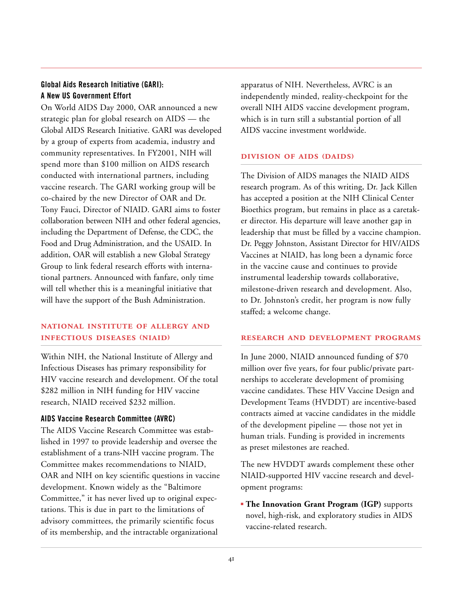#### **Global Aids Research Initiative (GARI): A New US Government Effort**

On World AIDS Day 2000, OAR announced a new strategic plan for global research on AIDS — the Global AIDS Research Initiative. GARI was developed by a group of experts from academia, industry and community representatives. In FY2001, NIH will spend more than \$100 million on AIDS research conducted with international partners, including vaccine research. The GARI working group will be co-chaired by the new Director of OAR and Dr. Tony Fauci, Director of NIAID. GARI aims to foster collaboration between NIH and other federal agencies, including the Department of Defense, the CDC, the Food and Drug Administration, and the USAID. In addition, OAR will establish a new Global Strategy Group to link federal research efforts with international partners. Announced with fanfare, only time will tell whether this is a meaningful initiative that will have the support of the Bush Administration.

#### **NATIONAL INSTITUTE OF ALLERGY AND INFECTIOUS DISEASES (NIAID)**

Within NIH, the National Institute of Allergy and Infectious Diseases has primary responsibility for HIV vaccine research and development. Of the total \$282 million in NIH funding for HIV vaccine research, NIAID received \$232 million.

#### **AIDS Vaccine Research Committee (AVRC)**

The AIDS Vaccine Research Committee was established in 1997 to provide leadership and oversee the establishment of a trans-NIH vaccine program. The Committee makes recommendations to NIAID, OAR and NIH on key scientific questions in vaccine development. Known widely as the "Baltimore Committee," it has never lived up to original expectations. This is due in part to the limitations of advisory committees, the primarily scientific focus of its membership, and the intractable organizational

apparatus of NIH. Nevertheless, AVRC is an independently minded, reality-checkpoint for the overall NIH AIDS vaccine development program, which is in turn still a substantial portion of all AIDS vaccine investment worldwide.

#### **DIVISION OF AIDS (DAIDS)**

The Division of AIDS manages the NIAID AIDS research program. As of this writing, Dr. Jack Killen has accepted a position at the NIH Clinical Center Bioethics program, but remains in place as a caretaker director. His departure will leave another gap in leadership that must be filled by a vaccine champion. Dr. Peggy Johnston, Assistant Director for HIV/AIDS Vaccines at NIAID, has long been a dynamic force in the vaccine cause and continues to provide instrumental leadership towards collaborative, milestone-driven research and development. Also, to Dr. Johnston's credit, her program is now fully staffed; a welcome change.

#### **RESEARCH AND DEVELOPMENT PROGRAMS**

In June 2000, NIAID announced funding of \$70 million over five years, for four public/private partnerships to accelerate development of promising vaccine candidates. These HIV Vaccine Design and Development Teams (HVDDT) are incentive-based contracts aimed at vaccine candidates in the middle of the development pipeline — those not yet in human trials. Funding is provided in increments as preset milestones are reached.

The new HVDDT awards complement these other NIAID-supported HIV vaccine research and development programs:

■ **The Innovation Grant Program (IGP)** supports novel, high-risk, and exploratory studies in AIDS vaccine-related research.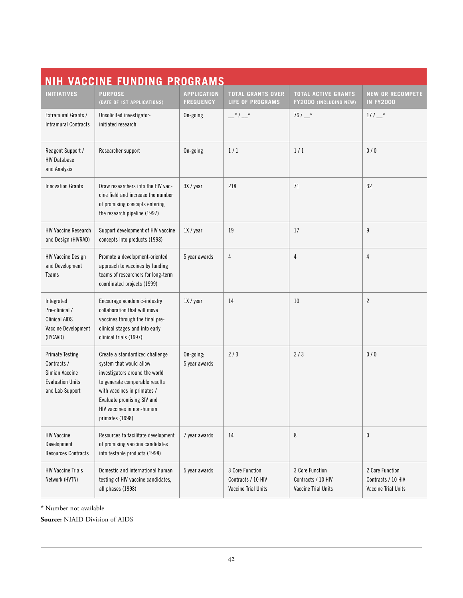<span id="page-43-0"></span>

| <b>NIH VACCINE FUNDING PROGRAMS</b>                                                                   |                                                                                                                                                                                                                                             |                                        |                                                              |                                                              |                                                              |  |  |  |
|-------------------------------------------------------------------------------------------------------|---------------------------------------------------------------------------------------------------------------------------------------------------------------------------------------------------------------------------------------------|----------------------------------------|--------------------------------------------------------------|--------------------------------------------------------------|--------------------------------------------------------------|--|--|--|
| <b>INITIATIVES</b>                                                                                    | <b>PURPOSE</b><br>(DATE OF 1ST APPLICATIONS)                                                                                                                                                                                                | <b>APPLICATION</b><br><b>FREQUENCY</b> | <b>TOTAL GRANTS OVER</b><br><b>LIFE OF PROGRAMS</b>          | <b>TOTAL ACTIVE GRANTS</b><br>FY2000 (INCLUDING NEW)         | <b>NEW OR RECOMPETE</b><br><b>IN FY2000</b>                  |  |  |  |
| Extramural Grants /<br><b>Intramural Contracts</b>                                                    | Unsolicited investigator-<br>initiated research                                                                                                                                                                                             | On-going                               | $-$ * $/$ $-$ *                                              | $76/$ $*$                                                    | $17/$ $*$                                                    |  |  |  |
| Reagent Support /<br><b>HIV Database</b><br>and Analysis                                              | Researcher support                                                                                                                                                                                                                          | On-going                               | 1/1                                                          | 1/1                                                          | 0/0                                                          |  |  |  |
| <b>Innovation Grants</b>                                                                              | Draw researchers into the HIV vac-<br>cine field and increase the number<br>of promising concepts entering<br>the research pipeline (1997)                                                                                                  | 3X / year                              | 218                                                          | 71                                                           | 32                                                           |  |  |  |
| <b>HIV Vaccine Research</b><br>and Design (HIVRAD)                                                    | Support development of HIV vaccine<br>concepts into products (1998)                                                                                                                                                                         | 1X / year                              | 19                                                           | 17                                                           | 9                                                            |  |  |  |
| <b>HIV Vaccine Design</b><br>and Development<br>Teams                                                 | Promote a development-oriented<br>approach to vaccines by funding<br>teams of researchers for long-term<br>coordinated projects (1999)                                                                                                      | 5 year awards                          | 4                                                            | 4                                                            | 4                                                            |  |  |  |
| Integrated<br>Pre-clinical /<br><b>Clinical AIDS</b><br>Vaccine Development<br>(IPCAVD)               | Encourage academic-industry<br>collaboration that will move<br>vaccines through the final pre-<br>clinical stages and into early<br>clinical trials (1997)                                                                                  | 1X / year                              | 14                                                           | 10                                                           | $\overline{2}$                                               |  |  |  |
| <b>Primate Testing</b><br>Contracts /<br>Simian Vaccine<br><b>Evaluation Units</b><br>and Lab Support | Create a standardized challenge<br>system that would allow<br>investigators around the world<br>to generate comparable results<br>with vaccines in primates /<br>Evaluate promising SIV and<br>HIV vaccines in non-human<br>primates (1998) | On-going;<br>5 year awards             | 2/3                                                          | 2/3                                                          | 0/0                                                          |  |  |  |
| <b>HIV Vaccine</b><br>Development<br><b>Resources Contracts</b>                                       | Resources to facilitate development<br>of promising vaccine candidates<br>into testable products (1998)                                                                                                                                     | 7 year awards                          | 14                                                           | 8                                                            | 0                                                            |  |  |  |
| <b>HIV Vaccine Trials</b><br>Network (HVTN)                                                           | Domestic and international human<br>testing of HIV vaccine candidates,<br>all phases (1998)                                                                                                                                                 | 5 year awards                          | 3 Core Function<br>Contracts / 10 HIV<br>Vaccine Trial Units | 3 Core Function<br>Contracts / 10 HIV<br>Vaccine Trial Units | 2 Core Function<br>Contracts / 10 HIV<br>Vaccine Trial Units |  |  |  |

\* Number not available

**Source:** NIAID Division of AIDS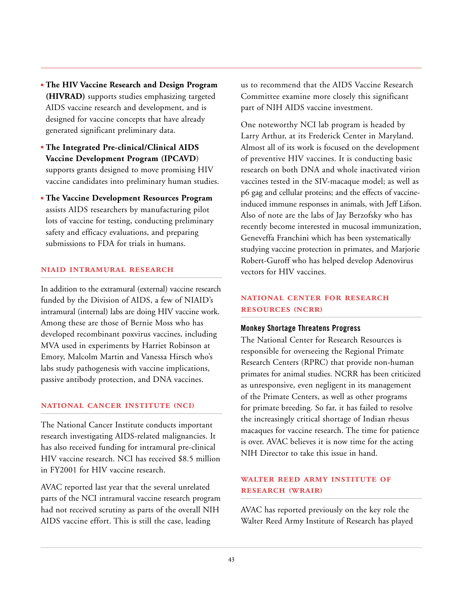- **The HIV Vaccine Research and Design Program (HIVRAD)** supports studies emphasizing targeted AIDS vaccine research and development, and is designed for vaccine concepts that have already generated significant preliminary data.
- **The Integrated Pre-clinical/Clinical AIDS Vaccine Development Program (IPCAVD**) supports grants designed to move promising HIV vaccine candidates into preliminary human studies.
- **The Vaccine Development Resources Program** assists AIDS researchers by manufacturing pilot lots of vaccine for testing, conducting preliminary safety and efficacy evaluations, and preparing submissions to FDA for trials in humans.

#### **NIAID INTRAMURAL RESEARCH**

In addition to the extramural (external) vaccine research funded by the Division of AIDS, a few of NIAID's intramural (internal) labs are doing HIV vaccine work. Among these are those of Bernie Moss who has developed recombinant poxvirus vaccines, including MVA used in experiments by Harriet Robinson at Emory, Malcolm Martin and Vanessa Hirsch who's labs study pathogenesis with vaccine implications, passive antibody protection, and DNA vaccines.

#### **NATIONAL CANCER INSTITUTE (NCI)**

The National Cancer Institute conducts important research investigating AIDS-related malignancies. It has also received funding for intramural pre-clinical HIV vaccine research. NCI has received \$8.5 million in FY2001 for HIV vaccine research.

AVAC reported last year that the several unrelated parts of the NCI intramural vaccine research program had not received scrutiny as parts of the overall NIH AIDS vaccine effort. This is still the case, leading

us to recommend that the AIDS Vaccine Research Committee examine more closely this significant part of NIH AIDS vaccine investment.

One noteworthy NCI lab program is headed by Larry Arthur, at its Frederick Center in Maryland. Almost all of its work is focused on the development of preventive HIV vaccines. It is conducting basic research on both DNA and whole inactivated virion vaccines tested in the SIV-macaque model; as well as p6 gag and cellular proteins; and the effects of vaccineinduced immune responses in animals, with Jeff Lifson. Also of note are the labs of Jay Berzofsky who has recently become interested in mucosal immunization, Geneveffa Franchini which has been systematically studying vaccine protection in primates, and Marjorie Robert-Guroff who has helped develop Adenovirus vectors for HIV vaccines.

#### **NATIONAL CENTER FOR RESEARCH RESOURCES (NCRR)**

#### **Monkey Shortage Threatens Progress**

The National Center for Research Resources is responsible for overseeing the Regional Primate Research Centers (RPRC) that provide non-human primates for animal studies. NCRR has been criticized as unresponsive, even negligent in its management of the Primate Centers, as well as other programs for primate breeding. So far, it has failed to resolve the increasingly critical shortage of Indian rhesus macaques for vaccine research. The time for patience is over. AVAC believes it is now time for the acting NIH Director to take this issue in hand.

#### **WALTER REED ARMY INSTITUTE OF RESEARCH (WRAIR)**

AVAC has reported previously on the key role the Walter Reed Army Institute of Research has played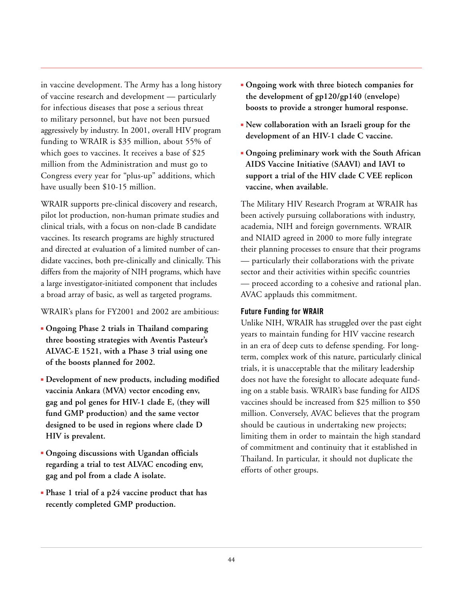in vaccine development. The Army has a long history of vaccine research and development — particularly for infectious diseases that pose a serious threat to military personnel, but have not been pursued aggressively by industry. In 2001, overall HIV program funding to WRAIR is \$35 million, about 55% of which goes to vaccines. It receives a base of \$25 million from the Administration and must go to Congress every year for "plus-up" additions, which have usually been \$10-15 million.

WRAIR supports pre-clinical discovery and research, pilot lot production, non-human primate studies and clinical trials, with a focus on non-clade B candidate vaccines. Its research programs are highly structured and directed at evaluation of a limited number of candidate vaccines, both pre-clinically and clinically. This differs from the majority of NIH programs, which have a large investigator-initiated component that includes a broad array of basic, as well as targeted programs.

#### WRAIR's plans for FY2001 and 2002 are ambitious:

- **Ongoing Phase 2 trials in Thailand comparing three boosting strategies with Aventis Pasteur's ALVAC-E 1521, with a Phase 3 trial using one of the boosts planned for 2002.**
- **Development of new products, including modified vaccinia Ankara (MVA) vector encoding env, gag and pol genes for HIV-1 clade E, (they will fund GMP production) and the same vector designed to be used in regions where clade D HIV is prevalent.**
- **Ongoing discussions with Ugandan officials regarding a trial to test ALVAC encoding env, gag and pol from a clade A isolate.**
- **Phase 1 trial of a p24 vaccine product that has recently completed GMP production.**
- **Ongoing work with three biotech companies for the development of gp120/gp140 (envelope) boosts to provide a stronger humoral response.**
- **New collaboration with an Israeli group for the development of an HIV-1 clade C vaccine.**
- **Ongoing preliminary work with the South African AIDS Vaccine Initiative (SAAVI) and IAVI to support a trial of the HIV clade C VEE replicon vaccine, when available.**

The Military HIV Research Program at WRAIR has been actively pursuing collaborations with industry, academia, NIH and foreign governments. WRAIR and NIAID agreed in 2000 to more fully integrate their planning processes to ensure that their programs — particularly their collaborations with the private sector and their activities within specific countries — proceed according to a cohesive and rational plan. AVAC applauds this commitment.

#### **Future Funding for WRAIR**

Unlike NIH, WRAIR has struggled over the past eight years to maintain funding for HIV vaccine research in an era of deep cuts to defense spending. For longterm, complex work of this nature, particularly clinical trials, it is unacceptable that the military leadership does not have the foresight to allocate adequate funding on a stable basis. WRAIR's base funding for AIDS vaccines should be increased from \$25 million to \$50 million. Conversely, AVAC believes that the program should be cautious in undertaking new projects; limiting them in order to maintain the high standard of commitment and continuity that it established in Thailand. In particular, it should not duplicate the efforts of other groups.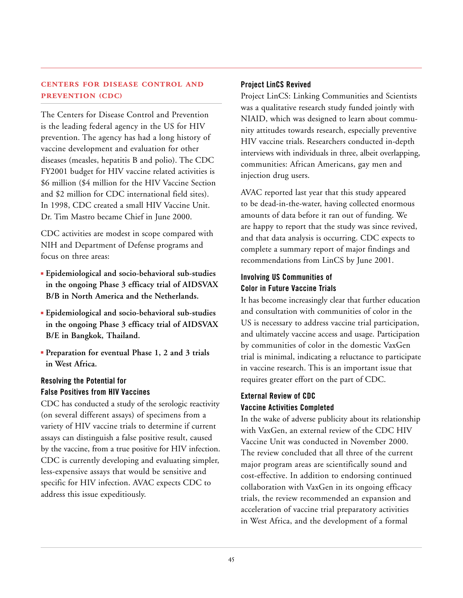#### **CENTERS FOR DISEASE CONTROL AND PREVENTION (CDC)**

The Centers for Disease Control and Prevention is the leading federal agency in the US for HIV prevention. The agency has had a long history of vaccine development and evaluation for other diseases (measles, hepatitis B and polio). The CDC FY2001 budget for HIV vaccine related activities is \$6 million (\$4 million for the HIV Vaccine Section and \$2 million for CDC international field sites). In 1998, CDC created a small HIV Vaccine Unit. Dr. Tim Mastro became Chief in June 2000.

CDC activities are modest in scope compared with NIH and Department of Defense programs and focus on three areas:

- **Epidemiological and socio-behavioral sub-studies in the ongoing Phase 3 efficacy trial of AIDSVAX B/B in North America and the Netherlands.**
- **Epidemiological and socio-behavioral sub-studies in the ongoing Phase 3 efficacy trial of AIDSVAX B/E in Bangkok, Thailand.**
- **Preparation for eventual Phase 1, 2 and 3 trials in West Africa.**

#### **Resolving the Potential for False Positives from HIV Vaccines**

CDC has conducted a study of the serologic reactivity (on several different assays) of specimens from a variety of HIV vaccine trials to determine if current assays can distinguish a false positive result, caused by the vaccine, from a true positive for HIV infection. CDC is currently developing and evaluating simpler, less-expensive assays that would be sensitive and specific for HIV infection. AVAC expects CDC to address this issue expeditiously.

#### **Project LinCS Revived**

Project LinCS: Linking Communities and Scientists was a qualitative research study funded jointly with NIAID, which was designed to learn about community attitudes towards research, especially preventive HIV vaccine trials. Researchers conducted in-depth interviews with individuals in three, albeit overlapping, communities: African Americans, gay men and injection drug users.

AVAC reported last year that this study appeared to be dead-in-the-water, having collected enormous amounts of data before it ran out of funding. We are happy to report that the study was since revived, and that data analysis is occurring. CDC expects to complete a summary report of major findings and recommendations from LinCS by June 2001.

#### **Involving US Communities of Color in Future Vaccine Trials**

It has become increasingly clear that further education and consultation with communities of color in the US is necessary to address vaccine trial participation, and ultimately vaccine access and usage. Participation by communities of color in the domestic VaxGen trial is minimal, indicating a reluctance to participate in vaccine research. This is an important issue that requires greater effort on the part of CDC.

#### **External Review of CDC Vaccine Activities Completed**

In the wake of adverse publicity about its relationship with VaxGen, an external review of the CDC HIV Vaccine Unit was conducted in November 2000. The review concluded that all three of the current major program areas are scientifically sound and cost-effective. In addition to endorsing continued collaboration with VaxGen in its ongoing efficacy trials, the review recommended an expansion and acceleration of vaccine trial preparatory activities in West Africa, and the development of a formal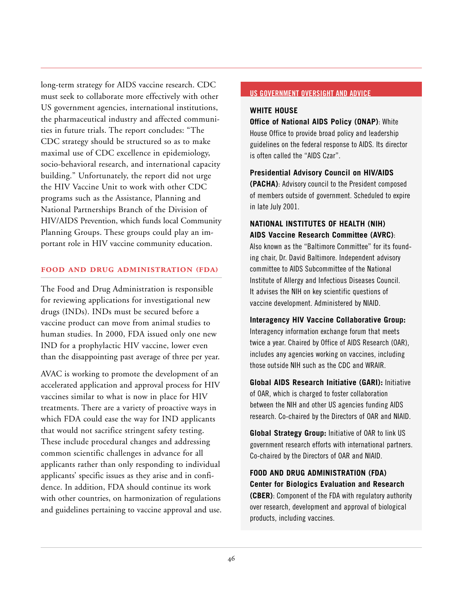<span id="page-47-0"></span>long-term strategy for AIDS vaccine research. CDC must seek to collaborate more effectively with other US government agencies, international institutions, the pharmaceutical industry and affected communities in future trials. The report concludes: "The CDC strategy should be structured so as to make maximal use of CDC excellence in epidemiology, socio-behavioral research, and international capacity building." Unfortunately, the report did not urge the HIV Vaccine Unit to work with other CDC programs such as the Assistance, Planning and National Partnerships Branch of the Division of HIV/AIDS Prevention, which funds local Community Planning Groups. These groups could play an important role in HIV vaccine community education.

#### **FOOD AND DRUG ADMINISTRATION (FDA)**

The Food and Drug Administration is responsible for reviewing applications for investigational new drugs (INDs). INDs must be secured before a vaccine product can move from animal studies to human studies. In 2000, FDA issued only one new IND for a prophylactic HIV vaccine, lower even than the disappointing past average of three per year.

AVAC is working to promote the development of an accelerated application and approval process for HIV vaccines similar to what is now in place for HIV treatments. There are a variety of proactive ways in which FDA could ease the way for IND applicants that would not sacrifice stringent safety testing. These include procedural changes and addressing common scientific challenges in advance for all applicants rather than only responding to individual applicants' specific issues as they arise and in confidence. In addition, FDA should continue its work with other countries, on harmonization of regulations and guidelines pertaining to vaccine approval and use.

#### **US GOVERNMENT OVERSIGHT AND ADVICE**

#### **WHITE HOUSE**

**Office of National AIDS Policy (ONAP)**: White House Office to provide broad policy and leadership guidelines on the federal response to AIDS. Its director is often called the "AIDS Czar".

**Presidential Advisory Council on HIV/AIDS**

**(PACHA)**: Advisory council to the President composed of members outside of government. Scheduled to expire in late July 2001.

#### **NATIONAL INSTITUTES OF HEALTH (NIH) AIDS Vaccine Research Committee (AVRC)**:

Also known as the "Baltimore Committee" for its founding chair, Dr. David Baltimore. Independent advisory committee to AIDS Subcommittee of the National Institute of Allergy and Infectious Diseases Council. It advises the NIH on key scientific questions of vaccine development. Administered by NIAID.

**Interagency HIV Vaccine Collaborative Group:** Interagency information exchange forum that meets twice a year. Chaired by Office of AIDS Research (OAR), includes any agencies working on vaccines, including those outside NIH such as the CDC and WRAIR.

**Global AIDS Research Initiative (GARI):** Initiative of OAR, which is charged to foster collaboration between the NIH and other US agencies funding AIDS research. Co-chaired by the Directors of OAR and NIAID.

**Global Strategy Group:** Initiative of OAR to link US government research efforts with international partners. Co-chaired by the Directors of OAR and NIAID.

**FOOD AND DRUG ADMINISTRATION (FDA) Center for Biologics Evaluation and Research (CBER)**: Component of the FDA with regulatory authority over research, development and approval of biological products, including vaccines.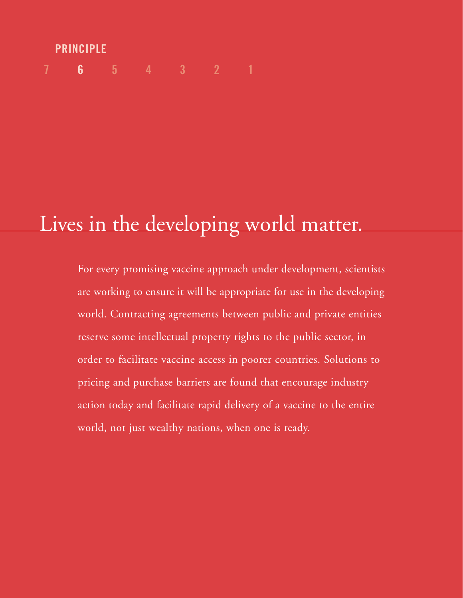# **7 6 54321 PRINCIPLE**

# Lives in the developing world matter.

For every promising vaccine approach under development, scientists are working to ensure it will be appropriate for use in the developing world. Contracting agreements between public and private entities reserve some intellectual property rights to the public sector, in order to facilitate vaccine access in poorer countries. Solutions to pricing and purchase barriers are found that encourage industry action today and facilitate rapid delivery of a vaccine to the entire world, not just wealthy nations, when one is ready.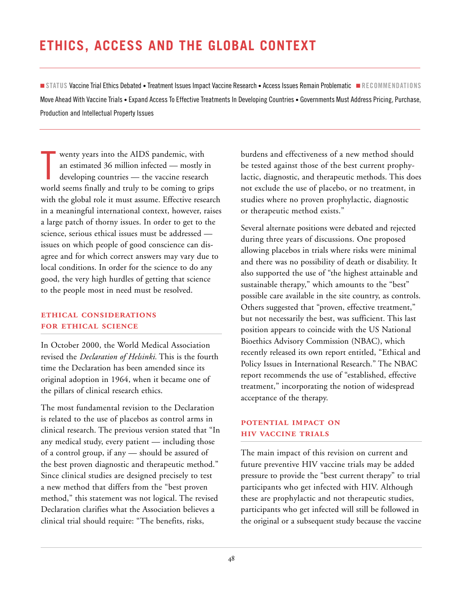## <span id="page-49-0"></span>**ETHICS, ACCESS AND THE GLOBAL CONTEXT**

■ **STATUS** Vaccine Trial Ethics Debated • Treatment Issues Impact Vaccine Research • Access Issues Remain Problematic ■ **RECOMMENDATIONS** Move Ahead With Vaccine Trials • Expand Access To Effective Treatments In Developing Countries • Governments Must Address Pricing, Purchase, Production and Intellectual Property Issues

T wenty years into the AIDS pandemic, with an estimated 36 million infected — mostly in developing countries — the vaccine research world seems finally and truly to be coming to grips with the global role it must assume. Effective research in a meaningful international context, however, raises a large patch of thorny issues. In order to get to the science, serious ethical issues must be addressed issues on which people of good conscience can disagree and for which correct answers may vary due to local conditions. In order for the science to do any good, the very high hurdles of getting that science to the people most in need must be resolved.

#### **ETHICAL CONSIDERATIONS FOR ETHICAL SCIENCE**

In October 2000, the World Medical Association revised the *Declaration of Helsinki.* This is the fourth time the Declaration has been amended since its original adoption in 1964, when it became one of the pillars of clinical research ethics.

The most fundamental revision to the Declaration is related to the use of placebos as control arms in clinical research. The previous version stated that "In any medical study, every patient — including those of a control group, if any — should be assured of the best proven diagnostic and therapeutic method." Since clinical studies are designed precisely to test a new method that differs from the "best proven method," this statement was not logical. The revised Declaration clarifies what the Association believes a clinical trial should require: "The benefits, risks,

burdens and effectiveness of a new method should be tested against those of the best current prophylactic, diagnostic, and therapeutic methods. This does not exclude the use of placebo, or no treatment, in studies where no proven prophylactic, diagnostic or therapeutic method exists."

Several alternate positions were debated and rejected during three years of discussions. One proposed allowing placebos in trials where risks were minimal and there was no possibility of death or disability. It also supported the use of "the highest attainable and sustainable therapy," which amounts to the "best" possible care available in the site country, as controls. Others suggested that "proven, effective treatment," but not necessarily the best, was sufficient. This last position appears to coincide with the US National Bioethics Advisory Commission (NBAC), which recently released its own report entitled, "Ethical and Policy Issues in International Research." The NBAC report recommends the use of "established, effective treatment," incorporating the notion of widespread acceptance of the therapy.

#### **POTENTIAL IMPACT ON HIV VACCINE TRIALS**

The main impact of this revision on current and future preventive HIV vaccine trials may be added pressure to provide the "best current therapy" to trial participants who get infected with HIV. Although these are prophylactic and not therapeutic studies, participants who get infected will still be followed in the original or a subsequent study because the vaccine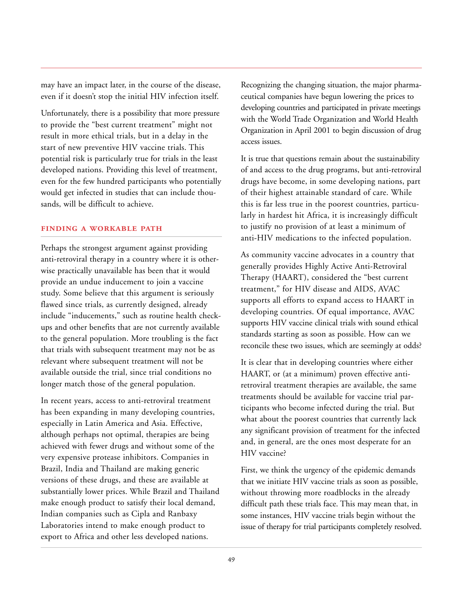may have an impact later, in the course of the disease, even if it doesn't stop the initial HIV infection itself.

Unfortunately, there is a possibility that more pressure to provide the "best current treatment" might not result in more ethical trials, but in a delay in the start of new preventive HIV vaccine trials. This potential risk is particularly true for trials in the least developed nations. Providing this level of treatment, even for the few hundred participants who potentially would get infected in studies that can include thousands, will be difficult to achieve.

#### **FINDING A WORKABLE PATH**

Perhaps the strongest argument against providing anti-retroviral therapy in a country where it is otherwise practically unavailable has been that it would provide an undue inducement to join a vaccine study. Some believe that this argument is seriously flawed since trials, as currently designed, already include "inducements," such as routine health checkups and other benefits that are not currently available to the general population. More troubling is the fact that trials with subsequent treatment may not be as relevant where subsequent treatment will not be available outside the trial, since trial conditions no longer match those of the general population.

In recent years, access to anti-retroviral treatment has been expanding in many developing countries, especially in Latin America and Asia. Effective, although perhaps not optimal, therapies are being achieved with fewer drugs and without some of the very expensive protease inhibitors. Companies in Brazil, India and Thailand are making generic versions of these drugs, and these are available at substantially lower prices. While Brazil and Thailand make enough product to satisfy their local demand, Indian companies such as Cipla and Ranbaxy Laboratories intend to make enough product to export to Africa and other less developed nations.

Recognizing the changing situation, the major pharmaceutical companies have begun lowering the prices to developing countries and participated in private meetings with the World Trade Organization and World Health Organization in April 2001 to begin discussion of drug access issues.

It is true that questions remain about the sustainability of and access to the drug programs, but anti-retroviral drugs have become, in some developing nations, part of their highest attainable standard of care. While this is far less true in the poorest countries, particularly in hardest hit Africa, it is increasingly difficult to justify no provision of at least a minimum of anti-HIV medications to the infected population.

As community vaccine advocates in a country that generally provides Highly Active Anti-Retroviral Therapy (HAART), considered the "best current treatment," for HIV disease and AIDS, AVAC supports all efforts to expand access to HAART in developing countries. Of equal importance, AVAC supports HIV vaccine clinical trials with sound ethical standards starting as soon as possible. How can we reconcile these two issues, which are seemingly at odds?

It is clear that in developing countries where either HAART, or (at a minimum) proven effective antiretroviral treatment therapies are available, the same treatments should be available for vaccine trial participants who become infected during the trial. But what about the poorest countries that currently lack any significant provision of treatment for the infected and, in general, are the ones most desperate for an HIV vaccine?

First, we think the urgency of the epidemic demands that we initiate HIV vaccine trials as soon as possible, without throwing more roadblocks in the already difficult path these trials face. This may mean that, in some instances, HIV vaccine trials begin without the issue of therapy for trial participants completely resolved.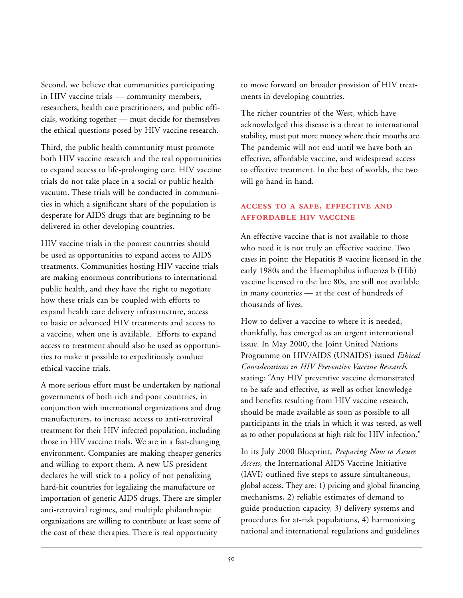Second, we believe that communities participating in HIV vaccine trials — community members, researchers, health care practitioners, and public officials, working together — must decide for themselves the ethical questions posed by HIV vaccine research.

Third, the public health community must promote both HIV vaccine research and the real opportunities to expand access to life-prolonging care. HIV vaccine trials do not take place in a social or public health vacuum. These trials will be conducted in communities in which a significant share of the population is desperate for AIDS drugs that are beginning to be delivered in other developing countries.

HIV vaccine trials in the poorest countries should be used as opportunities to expand access to AIDS treatments. Communities hosting HIV vaccine trials are making enormous contributions to international public health, and they have the right to negotiate how these trials can be coupled with efforts to expand health care delivery infrastructure, access to basic or advanced HIV treatments and access to a vaccine, when one is available. Efforts to expand access to treatment should also be used as opportunities to make it possible to expeditiously conduct ethical vaccine trials.

A more serious effort must be undertaken by national governments of both rich and poor countries, in conjunction with international organizations and drug manufacturers, to increase access to anti-retroviral treatment for their HIV infected population, including those in HIV vaccine trials. We are in a fast-changing environment. Companies are making cheaper generics and willing to export them. A new US president declares he will stick to a policy of not penalizing hard-hit countries for legalizing the manufacture or importation of generic AIDS drugs. There are simpler anti-retroviral regimes, and multiple philanthropic organizations are willing to contribute at least some of the cost of these therapies. There is real opportunity

to move forward on broader provision of HIV treatments in developing countries.

The richer countries of the West, which have acknowledged this disease is a threat to international stability, must put more money where their mouths are. The pandemic will not end until we have both an effective, affordable vaccine, and widespread access to effective treatment. In the best of worlds, the two will go hand in hand.

#### **ACCESS TO A SAFE, EFFECTIVE AND AFFORDABLE HIV VACCINE**

An effective vaccine that is not available to those who need it is not truly an effective vaccine. Two cases in point: the Hepatitis B vaccine licensed in the early 1980s and the Haemophilus influenza b (Hib) vaccine licensed in the late 80s, are still not available in many countries — at the cost of hundreds of thousands of lives.

How to deliver a vaccine to where it is needed, thankfully, has emerged as an urgent international issue. In May 2000, the Joint United Nations Programme on HIV/AIDS (UNAIDS) issued *Ethical Considerations in HIV Preventive Vaccine Research*, stating: "Any HIV preventive vaccine demonstrated to be safe and effective, as well as other knowledge and benefits resulting from HIV vaccine research, should be made available as soon as possible to all participants in the trials in which it was tested, as well as to other populations at high risk for HIV infection."

In its July 2000 Blueprint, *Preparing Now to Assure Access*, the International AIDS Vaccine Initiative (IAVI) outlined five steps to assure simultaneous, global access. They are: 1) pricing and global financing mechanisms, 2) reliable estimates of demand to guide production capacity, 3) delivery systems and procedures for at-risk populations, 4) harmonizing national and international regulations and guidelines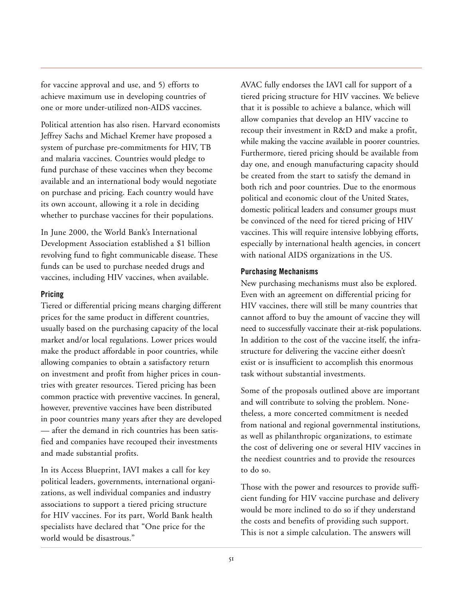for vaccine approval and use, and 5) efforts to achieve maximum use in developing countries of one or more under-utilized non-AIDS vaccines.

Political attention has also risen. Harvard economists Jeffrey Sachs and Michael Kremer have proposed a system of purchase pre-commitments for HIV, TB and malaria vaccines. Countries would pledge to fund purchase of these vaccines when they become available and an international body would negotiate on purchase and pricing. Each country would have its own account, allowing it a role in deciding whether to purchase vaccines for their populations.

In June 2000, the World Bank's International Development Association established a \$1 billion revolving fund to fight communicable disease. These funds can be used to purchase needed drugs and vaccines, including HIV vaccines, when available.

#### **Pricing**

Tiered or differential pricing means charging different prices for the same product in different countries, usually based on the purchasing capacity of the local market and/or local regulations. Lower prices would make the product affordable in poor countries, while allowing companies to obtain a satisfactory return on investment and profit from higher prices in countries with greater resources. Tiered pricing has been common practice with preventive vaccines. In general, however, preventive vaccines have been distributed in poor countries many years after they are developed — after the demand in rich countries has been satisfied and companies have recouped their investments and made substantial profits.

In its Access Blueprint, IAVI makes a call for key political leaders, governments, international organizations, as well individual companies and industry associations to support a tiered pricing structure for HIV vaccines. For its part, World Bank health specialists have declared that "One price for the world would be disastrous."

AVAC fully endorses the IAVI call for support of a tiered pricing structure for HIV vaccines. We believe that it is possible to achieve a balance, which will allow companies that develop an HIV vaccine to recoup their investment in R&D and make a profit, while making the vaccine available in poorer countries. Furthermore, tiered pricing should be available from day one, and enough manufacturing capacity should be created from the start to satisfy the demand in both rich and poor countries. Due to the enormous political and economic clout of the United States, domestic political leaders and consumer groups must be convinced of the need for tiered pricing of HIV vaccines. This will require intensive lobbying efforts, especially by international health agencies, in concert with national AIDS organizations in the US.

#### **Purchasing Mechanisms**

New purchasing mechanisms must also be explored. Even with an agreement on differential pricing for HIV vaccines, there will still be many countries that cannot afford to buy the amount of vaccine they will need to successfully vaccinate their at-risk populations. In addition to the cost of the vaccine itself, the infrastructure for delivering the vaccine either doesn't exist or is insufficient to accomplish this enormous task without substantial investments.

Some of the proposals outlined above are important and will contribute to solving the problem. Nonetheless, a more concerted commitment is needed from national and regional governmental institutions, as well as philanthropic organizations, to estimate the cost of delivering one or several HIV vaccines in the neediest countries and to provide the resources to do so.

Those with the power and resources to provide sufficient funding for HIV vaccine purchase and delivery would be more inclined to do so if they understand the costs and benefits of providing such support. This is not a simple calculation. The answers will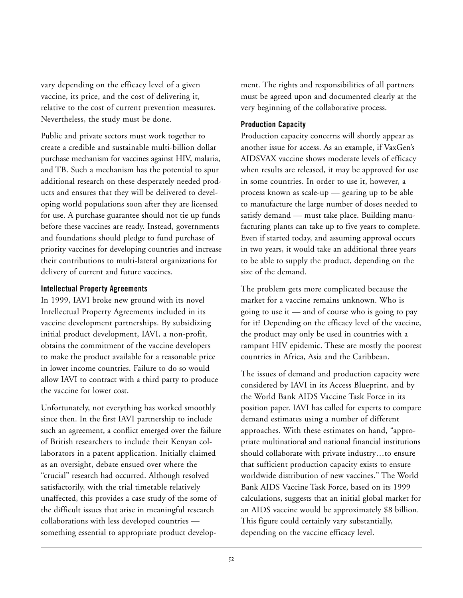vary depending on the efficacy level of a given vaccine, its price, and the cost of delivering it, relative to the cost of current prevention measures. Nevertheless, the study must be done.

Public and private sectors must work together to create a credible and sustainable multi-billion dollar purchase mechanism for vaccines against HIV, malaria, and TB. Such a mechanism has the potential to spur additional research on these desperately needed products and ensures that they will be delivered to developing world populations soon after they are licensed for use. A purchase guarantee should not tie up funds before these vaccines are ready. Instead, governments and foundations should pledge to fund purchase of priority vaccines for developing countries and increase their contributions to multi-lateral organizations for delivery of current and future vaccines.

#### **Intellectual Property Agreements**

In 1999, IAVI broke new ground with its novel Intellectual Property Agreements included in its vaccine development partnerships. By subsidizing initial product development, IAVI, a non-profit, obtains the commitment of the vaccine developers to make the product available for a reasonable price in lower income countries. Failure to do so would allow IAVI to contract with a third party to produce the vaccine for lower cost.

Unfortunately, not everything has worked smoothly since then. In the first IAVI partnership to include such an agreement, a conflict emerged over the failure of British researchers to include their Kenyan collaborators in a patent application. Initially claimed as an oversight, debate ensued over where the "crucial" research had occurred. Although resolved satisfactorily, with the trial timetable relatively unaffected, this provides a case study of the some of the difficult issues that arise in meaningful research collaborations with less developed countries something essential to appropriate product development. The rights and responsibilities of all partners must be agreed upon and documented clearly at the very beginning of the collaborative process.

#### **Production Capacity**

Production capacity concerns will shortly appear as another issue for access. As an example, if VaxGen's AIDSVAX vaccine shows moderate levels of efficacy when results are released, it may be approved for use in some countries. In order to use it, however, a process known as scale-up — gearing up to be able to manufacture the large number of doses needed to satisfy demand — must take place. Building manufacturing plants can take up to five years to complete. Even if started today, and assuming approval occurs in two years, it would take an additional three years to be able to supply the product, depending on the size of the demand.

The problem gets more complicated because the market for a vaccine remains unknown. Who is going to use it — and of course who is going to pay for it? Depending on the efficacy level of the vaccine, the product may only be used in countries with a rampant HIV epidemic. These are mostly the poorest countries in Africa, Asia and the Caribbean.

The issues of demand and production capacity were considered by IAVI in its Access Blueprint, and by the World Bank AIDS Vaccine Task Force in its position paper. IAVI has called for experts to compare demand estimates using a number of different approaches. With these estimates on hand, "appropriate multinational and national financial institutions should collaborate with private industry…to ensure that sufficient production capacity exists to ensure worldwide distribution of new vaccines." The World Bank AIDS Vaccine Task Force, based on its 1999 calculations, suggests that an initial global market for an AIDS vaccine would be approximately \$8 billion. This figure could certainly vary substantially, depending on the vaccine efficacy level.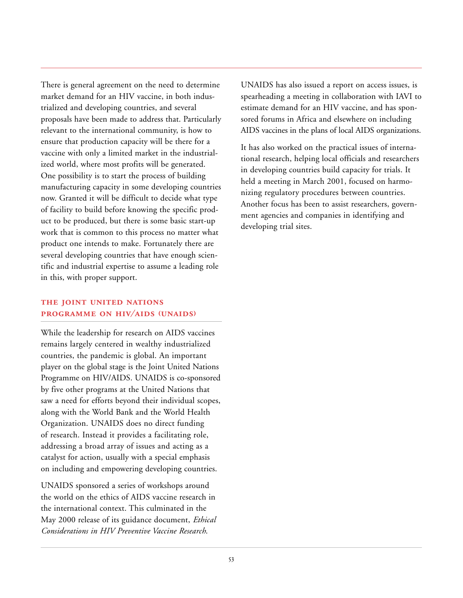There is general agreement on the need to determine market demand for an HIV vaccine, in both industrialized and developing countries, and several proposals have been made to address that. Particularly relevant to the international community, is how to ensure that production capacity will be there for a vaccine with only a limited market in the industrialized world, where most profits will be generated. One possibility is to start the process of building manufacturing capacity in some developing countries now. Granted it will be difficult to decide what type of facility to build before knowing the specific product to be produced, but there is some basic start-up work that is common to this process no matter what product one intends to make. Fortunately there are several developing countries that have enough scientific and industrial expertise to assume a leading role in this, with proper support.

#### **THE JOINT UNITED NATIONS PROGRAMME ON HIV/AIDS (UNAIDS)**

While the leadership for research on AIDS vaccines remains largely centered in wealthy industrialized countries, the pandemic is global. An important player on the global stage is the Joint United Nations Programme on HIV/AIDS. UNAIDS is co-sponsored by five other programs at the United Nations that saw a need for efforts beyond their individual scopes, along with the World Bank and the World Health Organization. UNAIDS does no direct funding of research. Instead it provides a facilitating role, addressing a broad array of issues and acting as a catalyst for action, usually with a special emphasis on including and empowering developing countries.

UNAIDS sponsored a series of workshops around the world on the ethics of AIDS vaccine research in the international context. This culminated in the May 2000 release of its guidance document, *Ethical Considerations in HIV Preventive Vaccine Research*.

UNAIDS has also issued a report on access issues, is spearheading a meeting in collaboration with IAVI to estimate demand for an HIV vaccine, and has sponsored forums in Africa and elsewhere on including AIDS vaccines in the plans of local AIDS organizations.

It has also worked on the practical issues of international research, helping local officials and researchers in developing countries build capacity for trials. It held a meeting in March 2001, focused on harmonizing regulatory procedures between countries. Another focus has been to assist researchers, government agencies and companies in identifying and developing trial sites.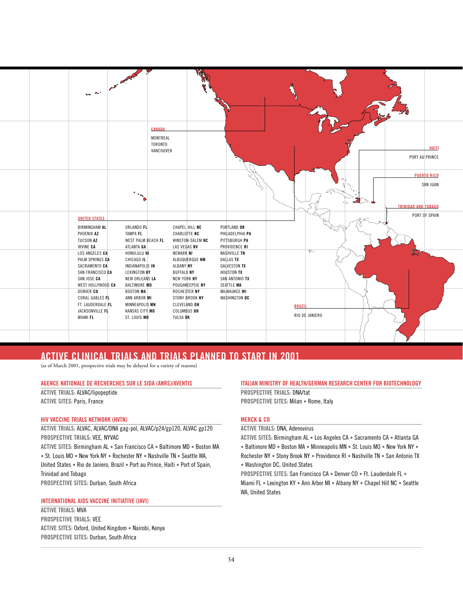<span id="page-55-0"></span>

#### **ACTIVE CLINICAL TRIALS AND TRIALS PLANNED TO START IN 2001**

(as of March 2001, prospective trials may be delayed for a variety of reasons)

#### **AGENCE NATIONALE DE RECHERCHES SUR LE SIDA (ANRS)/AVENTIS**

**ACTIVE TRIALS:** ALVAC/lipopeptide **ACTIVE SITES:** Paris, France

#### **HIV VACCINE TRIALS NETWORK (HVTN)**

**ACTIVE TRIALS:** ALVAC, ALVAC/DNA gag-pol, ALVAC/p24/gp120, ALVAC gp120 **PROSPECTIVE TRIALS:** VEE, NYVAC

**ACTIVE SITES:** Birmingham AL • San Francisco CA • Baltimore MD • Boston MA • St. Louis MO • New York NY • Rochester NY • Nashville TN • Seattle WA, United States • Rio de Janiero, Brazil • Port au Prince, Haiti • Port of Spain, Trinidad and Tobago **PROSPECTIVE SITES:** Durban, South Africa

#### **INTERNATIONAL AIDS VACCINE INITIATIVE (IAVI)**

**ACTIVE TRIALS:** MVA **PROSPECTIVE TRIALS:** VEE **ACTIVE SITES:** Oxford, United Kingdom • Nairobi, Kenya **PROSPECTIVE SITES:** Durban, South Africa

#### **ITALIAN MINISTRY OF HEALTH/GERMAN RESEARCH CENTER FOR BIOTECHNOLOGY**

**PROSPECTIVE TRIALS:** DNA/tat **PROSPECTIVE SITES:** Milan • Rome, Italy

#### **MERCK & CO**

**ACTIVE TRIALS:** DNA, Adenovirus

**ACTIVE SITES:** Birmingham AL • Los Angeles CA • Sacramento CA • Atlanta GA • Baltimore MD • Boston MA • Minneapolis MN • St. Louis MO • New York NY • Rochester NY • Stony Brook NY • Providence RI • Nashville TN • San Antonio TX • Washington DC, United States

**PROSPECTIVE SITES:** San Francisco CA • Denver CO • Ft. Lauderdale FL • Miami FL • Lexington KY • Ann Arbor MI • Albany NY • Chapel Hill NC • Seattle WA, United States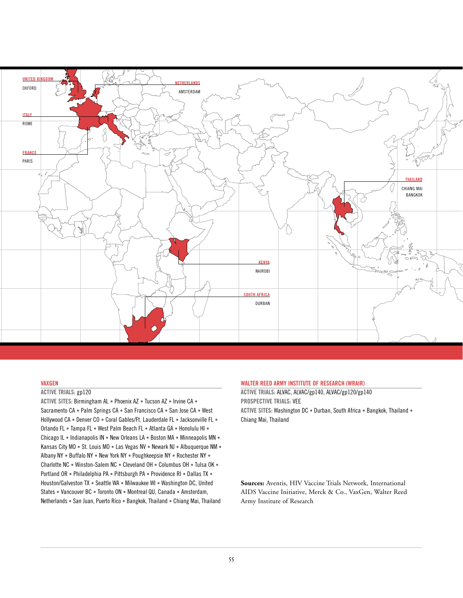

#### **VAXGEN**

#### **ACTIVE TRIALS:** gp120

**ACTIVE SITES:** Birmingham AL • Phoenix AZ • Tucson AZ • Irvine CA • Sacramento CA • Palm Springs CA • San Francisco CA • San Jose CA • West Hollywood CA • Denver CO • Coral Gables/Ft. Lauderdale FL • Jacksonville FL • Orlando FL • Tampa FL • West Palm Beach FL • Atlanta GA • Honolulu HI • Chicago IL • Indianapolis IN • New Orleans LA • Boston MA • Minneapolis MN • Kansas City MO • St. Louis MO • Las Vegas NV • Newark NJ • Albuquerque NM • Albany NY • Buffalo NY • New York NY • Poughkeepsie NY • Rochester NY • Charlotte NC • Winston-Salem NC • Cleveland OH • Columbus OH • Tulsa OK • Portland OR • Philadelphia PA • Pittsburgh PA • Providence RI • Dallas TX • Houston/Galveston TX • Seattle WA • Milwaukee WI • Washington DC, United States • Vancouver BC • Toronto ON • Montreal QU, Canada • Amsterdam, Netherlands • San Juan, Puerto Rico • Bangkok, Thailand • Chiang Mai, Thailand

#### **WALTER REED ARMY INSTITUTE OF RESEARCH (WRAIR)**

**ACTIVE TRIALS:** ALVAC, ALVAC/gp140, ALVAC/gp120/gp140 **PROSPECTIVE TRIALS:** VEE **ACTIVE SITES:** Washington DC • Durban, South Africa • Bangkok, Thailand • Chiang Mai, Thailand

**Sources:** Aventis, HIV Vaccine Trials Network, International AIDS Vaccine Initiative, Merck & Co., VaxGen, Walter Reed Army Institute of Research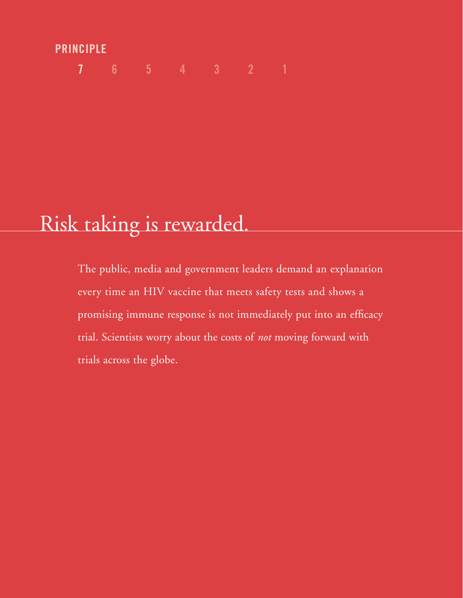## **PRINCIPLE**

**7 654321**

# Risk taking is rewarded.

The public, media and government leaders demand an explanation every time an HIV vaccine that meets safety tests and shows a promising immune response is not immediately put into an efficacy trial. Scientists worry about the costs of *not* moving forward with trials across the globe.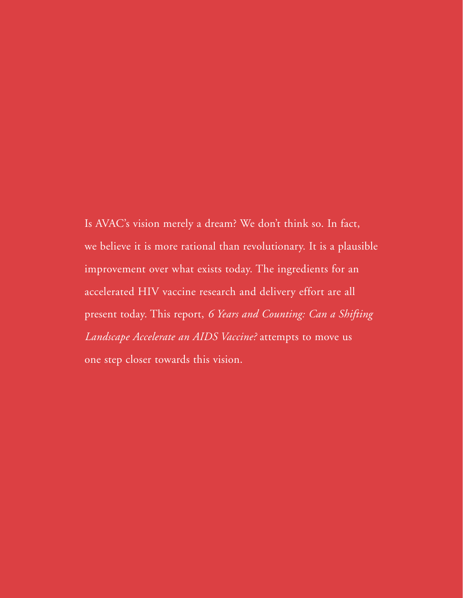Is AVAC's vision merely a dream? We don't think so. In fact, we believe it is more rational than revolutionary. It is a plausible improvement over what exists today. The ingredients for an accelerated HIV vaccine research and delivery effort are all present today. This report, *6 Years and Counting: Can a Shifting Landscape Accelerate an AIDS Vaccine?* attempts to move us one step closer towards this vision.